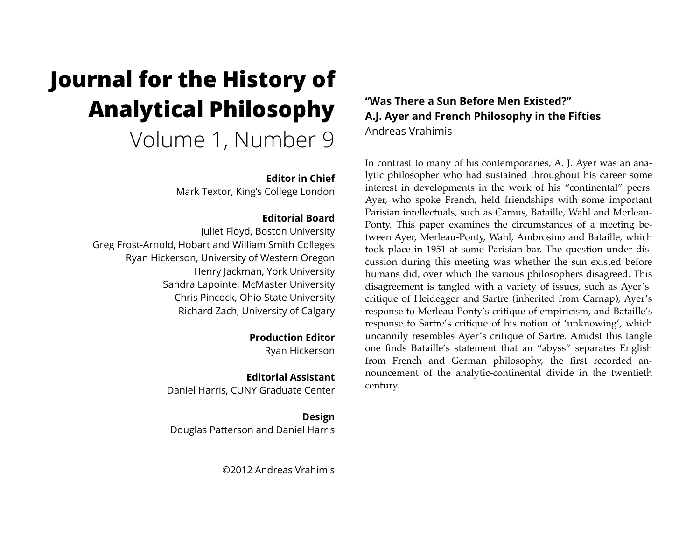# **Journal for the History of Analytical Philosophy**  Volume 1, Number 9

#### **Editor in Chief**

Mark Textor, King's College London

#### **Editorial Board**

Juliet Floyd, Boston University Greg Frost-Arnold, Hobart and William Smith Colleges Ryan Hickerson, University of Western Oregon Henry Jackman, York University Sandra Lapointe, McMaster University Chris Pincock, Ohio State University Richard Zach, University of Calgary

**Production Editor**

Ryan Hickerson

### **Editorial Assistant**

Daniel Harris, CUNY Graduate Center

#### **Design** Douglas Patterson and Daniel Harris

©2012 Andreas Vrahimis

## **"Was There a Sun Before Men Existed?" A.J. Ayer and French Philosophy in the Fifties** Andreas Vrahimis

In contrast to many of his contemporaries, A. J. Ayer was an analytic philosopher who had sustained throughout his career some interest in developments in the work of his "continental" peers. Ayer, who spoke French, held friendships with some important Parisian intellectuals, such as Camus, Bataille, Wahl and Merleau-Ponty. This paper examines the circumstances of a meeting between Ayer, Merleau-Ponty, Wahl, Ambrosino and Bataille, which took place in 1951 at some Parisian bar. The question under discussion during this meeting was whether the sun existed before humans did, over which the various philosophers disagreed. This disagreement is tangled with a variety of issues, such as Ayer's critique of Heidegger and Sartre (inherited from Carnap), Ayer's response to Merleau-Ponty's critique of empiricism, and Bataille's response to Sartre's critique of his notion of 'unknowing', which uncannily resembles Ayer's critique of Sartre. Amidst this tangle one finds Bataille's statement that an "abyss" separates English from French and German philosophy, the first recorded announcement of the analytic-continental divide in the twentieth century.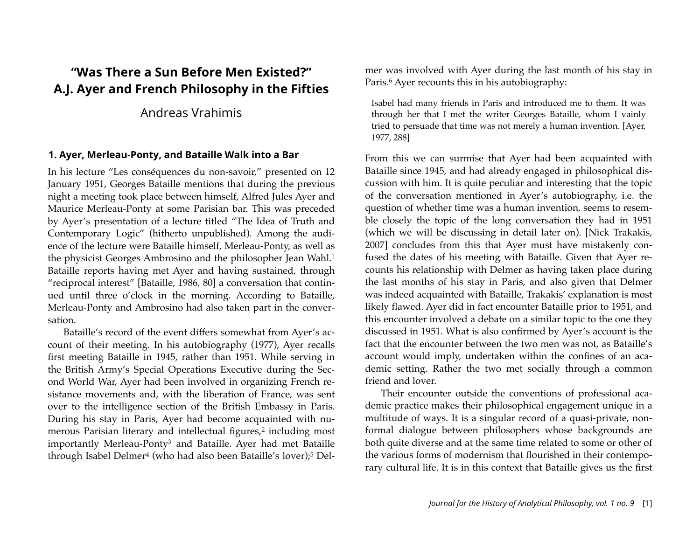## **"Was There a Sun Before Men Existed?" A.J. Ayer and French Philosophy in the Fifties**

## Andreas Vrahimis

#### **1. Ayer, Merleau-Ponty, and Bataille Walk into a Bar**

In his lecture "Les conséquences du non-savoir," presented on 12 January 1951, Georges Bataille mentions that during the previous night a meeting took place between himself, Alfred Jules Ayer and Maurice Merleau-Ponty at some Parisian bar. This was preceded by Ayer's presentation of a lecture titled "The Idea of Truth and Contemporary Logic" (hitherto unpublished). Among the audience of the lecture were Bataille himself, Merleau-Ponty, as well as the physicist Georges Ambrosino and the philosopher Jean Wahl.<sup>1</sup> Bataille reports having met Ayer and having sustained, through "reciprocal interest" [Bataille, 1986, 80] a conversation that continued until three o'clock in the morning. According to Bataille, Merleau-Ponty and Ambrosino had also taken part in the conversation.

Bataille's record of the event differs somewhat from Ayer's account of their meeting. In his autobiography (1977), Ayer recalls first meeting Bataille in 1945, rather than 1951. While serving in the British Army's Special Operations Executive during the Second World War, Ayer had been involved in organizing French resistance movements and, with the liberation of France, was sent over to the intelligence section of the British Embassy in Paris. During his stay in Paris, Ayer had become acquainted with nu-merous Parisian literary and intellectual figures,<sup>[2](#page-15-1)</sup> including most importantly Merleau-Pont[y3](#page-15-2) and Bataille. Ayer had met Bataille through Isabel Delmer<sup>[4](#page-15-3)</sup> (who had also been Bataille's lover);<sup>5</sup> Delmer was involved with Ayer during the last month of his stay in Paris[.6](#page-15-5) Ayer recounts this in his autobiography:

Isabel had many friends in Paris and introduced me to them. It was through her that I met the writer Georges Bataille, whom I vainly tried to persuade that time was not merely a human invention. [Ayer, 1977, 288]

From this we can surmise that Ayer had been acquainted with Bataille since 1945, and had already engaged in philosophical discussion with him. It is quite peculiar and interesting that the topic of the conversation mentioned in Ayer's autobiography, i.e. the question of whether time was a human invention, seems to resemble closely the topic of the long conversation they had in 1951 (which we will be discussing in detail later on). [Nick Trakakis, 2007] concludes from this that Ayer must have mistakenly confused the dates of his meeting with Bataille. Given that Ayer recounts his relationship with Delmer as having taken place during the last months of his stay in Paris, and also given that Delmer was indeed acquainted with Bataille, Trakakis' explanation is most likely flawed. Ayer did in fact encounter Bataille prior to 1951, and this encounter involved a debate on a similar topic to the one they discussed in 1951. What is also confirmed by Ayer's account is the fact that the encounter between the two men was not, as Bataille's account would imply, undertaken within the confines of an academic setting. Rather the two met socially through a common friend and lover.

Their encounter outside the conventions of professional academic practice makes their philosophical engagement unique in a multitude of ways. It is a singular record of a quasi-private, nonformal dialogue between philosophers whose backgrounds are both quite diverse and at the same time related to some or other of the various forms of modernism that flourished in their contemporary cultural life. It is in this context that Bataille gives us the first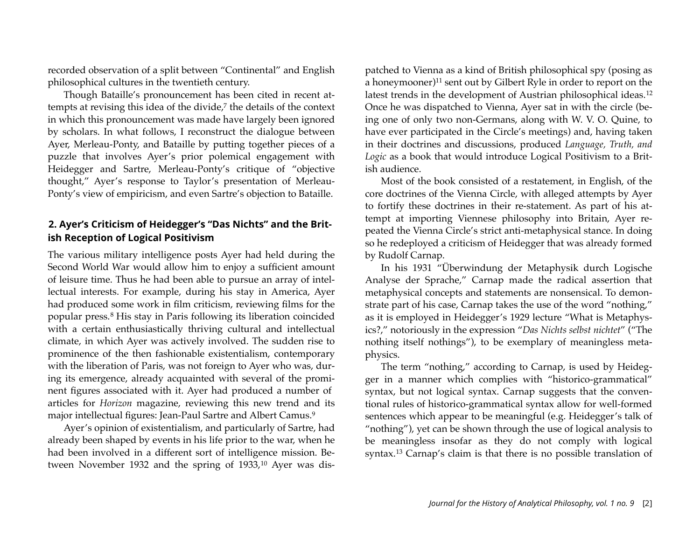recorded observation of a split between "Continental" and English philosophical cultures in the twentieth century.

Though Bataille's pronouncement has been cited in recent attempts at revising this idea of the divide,<sup>7</sup> the details of the context in which this pronouncement was made have largely been ignored by scholars. In what follows, I reconstruct the dialogue between Ayer, Merleau-Ponty, and Bataille by putting together pieces of a puzzle that involves Ayer's prior polemical engagement with Heidegger and Sartre, Merleau-Ponty's critique of "objective thought," Ayer's response to Taylor's presentation of Merleau-Ponty's view of empiricism, and even Sartre's objection to Bataille.

#### **2. Ayer's Criticism of Heidegger's "Das Nichts" and the British Reception of Logical Positivism**

The various military intelligence posts Ayer had held during the Second World War would allow him to enjoy a sufficient amount of leisure time. Thus he had been able to pursue an array of intellectual interests. For example, during his stay in America, Ayer had produced some work in film criticism, reviewing films for the popular press.[8](#page-16-0) His stay in Paris following its liberation coincided with a certain enthusiastically thriving cultural and intellectual climate, in which Ayer was actively involved. The sudden rise to prominence of the then fashionable existentialism, contemporary with the liberation of Paris, was not foreign to Ayer who was, during its emergence, already acquainted with several of the prominent figures associated with it. Ayer had produced a number of articles for *Horizon* magazine, reviewing this new trend and its major intellectual figures: Jean-Paul Sartre and Albert Camus.<sup>[9](#page-16-1)</sup>

Ayer's opinion of existentialism, and particularly of Sartre, had already been shaped by events in his life prior to the war, when he had been involved in a different sort of intelligence mission. Be-tween November 1932 and the spring of 1933,<sup>[10](#page-16-2)</sup> Ayer was dispatched to Vienna as a kind of British philosophical spy (posing as a honeymooner)[11](#page-16-3) sent out by Gilbert Ryle in order to report on the latest trends in the development of Austrian philosophical ideas.[12](#page-16-4) Once he was dispatched to Vienna, Ayer sat in with the circle (being one of only two non-Germans, along with W. V. O. Quine, to have ever participated in the Circle's meetings) and, having taken in their doctrines and discussions, produced *Language, Truth, and Logic* as a book that would introduce Logical Positivism to a British audience.

Most of the book consisted of a restatement, in English, of the core doctrines of the Vienna Circle, with alleged attempts by Ayer to fortify these doctrines in their re-statement. As part of his attempt at importing Viennese philosophy into Britain, Ayer repeated the Vienna Circle's strict anti-metaphysical stance. In doing so he redeployed a criticism of Heidegger that was already formed by Rudolf Carnap.

In his 1931 "Überwindung der Metaphysik durch Logische Analyse der Sprache," Carnap made the radical assertion that metaphysical concepts and statements are nonsensical. To demonstrate part of his case, Carnap takes the use of the word "nothing," as it is employed in Heidegger's 1929 lecture "What is Metaphysics?," notoriously in the expression "*Das Nichts selbst nichtet*" ("The nothing itself nothings"), to be exemplary of meaningless metaphysics.

The term "nothing," according to Carnap, is used by Heidegger in a manner which complies with "historico-grammatical" syntax, but not logical syntax. Carnap suggests that the conventional rules of historico-grammatical syntax allow for well-formed sentences which appear to be meaningful (e.g. Heidegger's talk of "nothing"), yet can be shown through the use of logical analysis to be meaningless insofar as they do not comply with logical syntax.[13](#page-16-5) Carnap's claim is that there is no possible translation of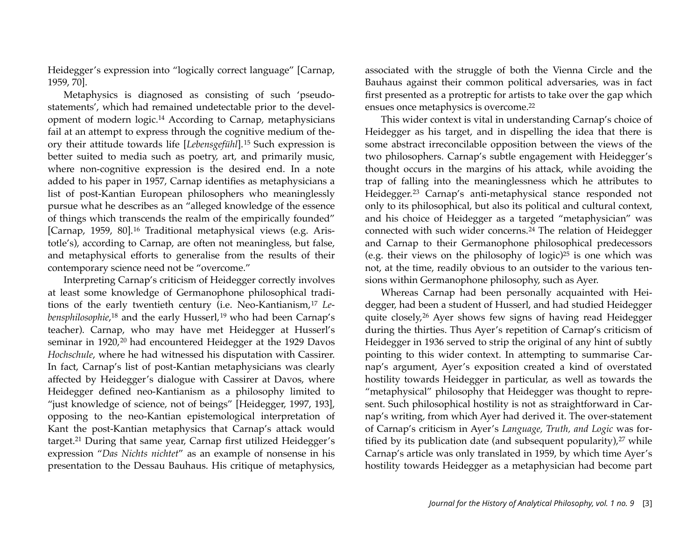Heidegger's expression into "logically correct language" [Carnap, 1959, 70].

Metaphysics is diagnosed as consisting of such 'pseudostatements', which had remained undetectable prior to the development of modern logic[.14](#page-16-6) According to Carnap, metaphysicians fail at an attempt to express through the cognitive medium of theory their attitude towards life [*Lebensgefühl*].[15](#page-16-7) Such expression is better suited to media such as poetry, art, and primarily music, where non-cognitive expression is the desired end. In a note added to his paper in 1957, Carnap identifies as metaphysicians a list of post-Kantian European philosophers who meaninglessly pursue what he describes as an "alleged knowledge of the essence of things which transcends the realm of the empirically founded" [Carnap, 1959, 80].<sup>[16](#page-16-8)</sup> Traditional metaphysical views (e.g. Aristotle's), according to Carnap, are often not meaningless, but false, and metaphysical efforts to generalise from the results of their contemporary science need not be "overcome."

Interpreting Carnap's criticism of Heidegger correctly involves at least some knowledge of Germanophone philosophical traditions of the early twentieth century (i.e. Neo-Kantianism,[17](#page-16-9) *Lebensphilosophie*, [18](#page-16-10) and the early Husserl,[19](#page-16-11) who had been Carnap's teacher). Carnap, who may have met Heidegger at Husserl's seminar in 19[20](#page-16-12),<sup>20</sup> had encountered Heidegger at the 1929 Davos *Hochschule*, where he had witnessed his disputation with Cassirer. In fact, Carnap's list of post-Kantian metaphysicians was clearly affected by Heidegger's dialogue with Cassirer at Davos, where Heidegger defined neo-Kantianism as a philosophy limited to "just knowledge of science, not of beings" [Heidegger, 1997, 193], opposing to the neo-Kantian epistemological interpretation of Kant the post-Kantian metaphysics that Carnap's attack would target.[21](#page-16-13) During that same year, Carnap first utilized Heidegger's expression "*Das Nichts nichtet*" as an example of nonsense in his presentation to the Dessau Bauhaus. His critique of metaphysics,

associated with the struggle of both the Vienna Circle and the Bauhaus against their common political adversaries, was in fact first presented as a protreptic for artists to take over the gap which ensues once metaphysics is overcome[.22](#page-16-14)

This wider context is vital in understanding Carnap's choice of Heidegger as his target, and in dispelling the idea that there is some abstract irreconcilable opposition between the views of the two philosophers. Carnap's subtle engagement with Heidegger's thought occurs in the margins of his attack, while avoiding the trap of falling into the meaninglessness which he attributes to Heidegger.[23](#page-16-15) Carnap's anti-metaphysical stance responded not only to its philosophical, but also its political and cultural context, and his choice of Heidegger as a targeted "metaphysician" was connected with such wider concerns.[24](#page-16-16) The relation of Heidegger and Carnap to their Germanophone philosophical predecessors (e.g. their views on the philosophy of logic) $25$  is one which was not, at the time, readily obvious to an outsider to the various tensions within Germanophone philosophy, such as Ayer.

Whereas Carnap had been personally acquainted with Heidegger, had been a student of Husserl, and had studied Heidegger quite closely,<sup>[26](#page-16-18)</sup> Ayer shows few signs of having read Heidegger during the thirties. Thus Ayer's repetition of Carnap's criticism of Heidegger in 1936 served to strip the original of any hint of subtly pointing to this wider context. In attempting to summarise Carnap's argument, Ayer's exposition created a kind of overstated hostility towards Heidegger in particular, as well as towards the "metaphysical" philosophy that Heidegger was thought to represent. Such philosophical hostility is not as straightforward in Carnap's writing, from which Ayer had derived it. The over-statement of Carnap's criticism in Ayer's *Language, Truth, and Logic* was fortified by its publication date (and subsequent popularity), $27$  while Carnap's article was only translated in 1959, by which time Ayer's hostility towards Heidegger as a metaphysician had become part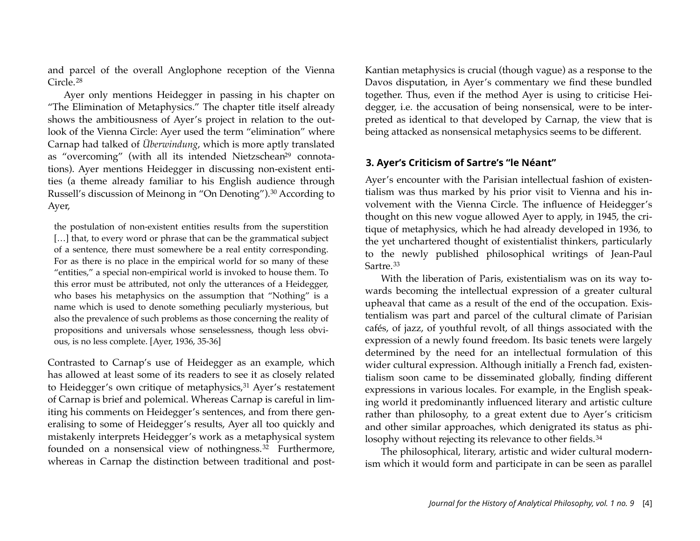and parcel of the overall Anglophone reception of the Vienna Circle.[28](#page-17-0)

Ayer only mentions Heidegger in passing in his chapter on "The Elimination of Metaphysics." The chapter title itself already shows the ambitiousness of Ayer's project in relation to the outlook of the Vienna Circle: Ayer used the term "elimination" where Carnap had talked of *Überwindung*, which is more aptly translated as "overcoming" (with all its intended Nietzschean<sup>29</sup> connotations). Ayer mentions Heidegger in discussing non-existent entities (a theme already familiar to his English audience through Russell's discussion of Meinong in "On Denoting").[30](#page-17-2) According to Ayer,

the postulation of non-existent entities results from the superstition [...] that, to every word or phrase that can be the grammatical subject of a sentence, there must somewhere be a real entity corresponding. For as there is no place in the empirical world for so many of these "entities," a special non-empirical world is invoked to house them. To this error must be attributed, not only the utterances of a Heidegger, who bases his metaphysics on the assumption that "Nothing" is a name which is used to denote something peculiarly mysterious, but also the prevalence of such problems as those concerning the reality of propositions and universals whose senselessness, though less obvious, is no less complete. [Ayer, 1936, 35-36]

Contrasted to Carnap's use of Heidegger as an example, which has allowed at least some of its readers to see it as closely related to Heidegger's own critique of metaphysics,<sup>31</sup> Ayer's restatement of Carnap is brief and polemical. Whereas Carnap is careful in limiting his comments on Heidegger's sentences, and from there generalising to some of Heidegger's results, Ayer all too quickly and mistakenly interprets Heidegger's work as a metaphysical system founded on a nonsensical view of nothingness.[32](#page-17-4) Furthermore, whereas in Carnap the distinction between traditional and postKantian metaphysics is crucial (though vague) as a response to the Davos disputation, in Ayer's commentary we find these bundled together. Thus, even if the method Ayer is using to criticise Heidegger, i.e. the accusation of being nonsensical, were to be interpreted as identical to that developed by Carnap, the view that is being attacked as nonsensical metaphysics seems to be different.

#### **3. Ayer's Criticism of Sartre's "le Néant"**

Ayer's encounter with the Parisian intellectual fashion of existentialism was thus marked by his prior visit to Vienna and his involvement with the Vienna Circle. The influence of Heidegger's thought on this new vogue allowed Ayer to apply, in 1945, the critique of metaphysics, which he had already developed in 1936, to the yet unchartered thought of existentialist thinkers, particularly to the newly published philosophical writings of Jean-Paul Sartre.[33](#page-17-5)

With the liberation of Paris, existentialism was on its way towards becoming the intellectual expression of a greater cultural upheaval that came as a result of the end of the occupation. Existentialism was part and parcel of the cultural climate of Parisian cafés, of jazz, of youthful revolt, of all things associated with the expression of a newly found freedom. Its basic tenets were largely determined by the need for an intellectual formulation of this wider cultural expression. Although initially a French fad, existentialism soon came to be disseminated globally, finding different expressions in various locales. For example, in the English speaking world it predominantly influenced literary and artistic culture rather than philosophy, to a great extent due to Ayer's criticism and other similar approaches, which denigrated its status as phi-losophy without rejecting its relevance to other fields.<sup>[34](#page-17-6)</sup>

The philosophical, literary, artistic and wider cultural modernism which it would form and participate in can be seen as parallel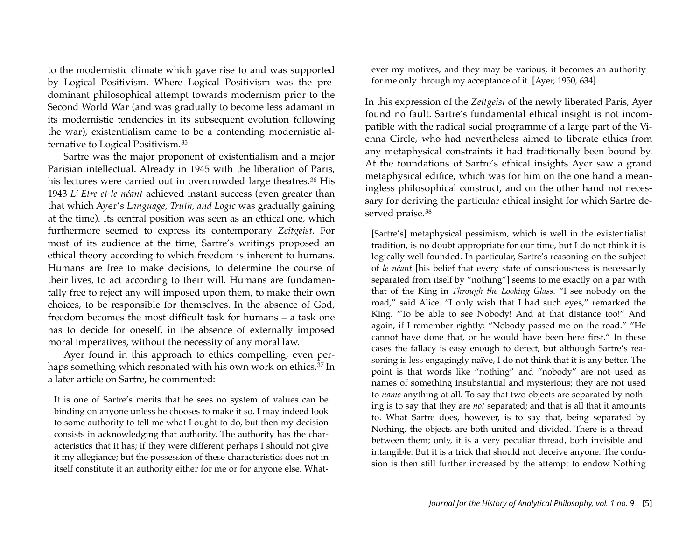to the modernistic climate which gave rise to and was supported by Logical Positivism. Where Logical Positivism was the predominant philosophical attempt towards modernism prior to the Second World War (and was gradually to become less adamant in its modernistic tendencies in its subsequent evolution following the war), existentialism came to be a contending modernistic alternative to Logical Positivism.[35](#page-17-7)

Sartre was the major proponent of existentialism and a major Parisian intellectual. Already in 1945 with the liberation of Paris, his lectures were carried out in overcrowded large theatres.<sup>[36](#page-17-8)</sup> His 1943 *L' Etre et le néant* achieved instant success (even greater than that which Ayer's *Language, Truth, and Logic* was gradually gaining at the time). Its central position was seen as an ethical one, which furthermore seemed to express its contemporary *Zeitgeist*. For most of its audience at the time, Sartre's writings proposed an ethical theory according to which freedom is inherent to humans. Humans are free to make decisions, to determine the course of their lives, to act according to their will. Humans are fundamentally free to reject any will imposed upon them, to make their own choices, to be responsible for themselves. In the absence of God, freedom becomes the most difficult task for humans – a task one has to decide for oneself, in the absence of externally imposed moral imperatives, without the necessity of any moral law.

Ayer found in this approach to ethics compelling, even per-haps something which resonated with his own work on ethics.<sup>[37](#page-17-9)</sup> In a later article on Sartre, he commented:

It is one of Sartre's merits that he sees no system of values can be binding on anyone unless he chooses to make it so. I may indeed look to some authority to tell me what I ought to do, but then my decision consists in acknowledging that authority. The authority has the characteristics that it has; if they were different perhaps I should not give it my allegiance; but the possession of these characteristics does not in itself constitute it an authority either for me or for anyone else. Whatever my motives, and they may be various, it becomes an authority for me only through my acceptance of it. [Ayer, 1950, 634]

In this expression of the *Zeitgeist* of the newly liberated Paris, Ayer found no fault. Sartre's fundamental ethical insight is not incompatible with the radical social programme of a large part of the Vienna Circle, who had nevertheless aimed to liberate ethics from any metaphysical constraints it had traditionally been bound by. At the foundations of Sartre's ethical insights Ayer saw a grand metaphysical edifice, which was for him on the one hand a meaningless philosophical construct, and on the other hand not necessary for deriving the particular ethical insight for which Sartre de-served praise.<sup>[38](#page-17-10)</sup>

[Sartre's] metaphysical pessimism, which is well in the existentialist tradition, is no doubt appropriate for our time, but I do not think it is logically well founded. In particular, Sartre's reasoning on the subject of *le néant* [his belief that every state of consciousness is necessarily separated from itself by "nothing"] seems to me exactly on a par with that of the King in *Through the Looking Glass*. "I see nobody on the road," said Alice. "I only wish that I had such eyes," remarked the King. "To be able to see Nobody! And at that distance too!" And again, if I remember rightly: "Nobody passed me on the road." "He cannot have done that, or he would have been here first." In these cases the fallacy is easy enough to detect, but although Sartre's reasoning is less engagingly naïve, I do not think that it is any better. The point is that words like "nothing" and "nobody" are not used as names of something insubstantial and mysterious; they are not used to *name* anything at all. To say that two objects are separated by nothing is to say that they are *not* separated; and that is all that it amounts to. What Sartre does, however, is to say that, being separated by Nothing, the objects are both united and divided. There is a thread between them; only, it is a very peculiar thread, both invisible and intangible. But it is a trick that should not deceive anyone. The confusion is then still further increased by the attempt to endow Nothing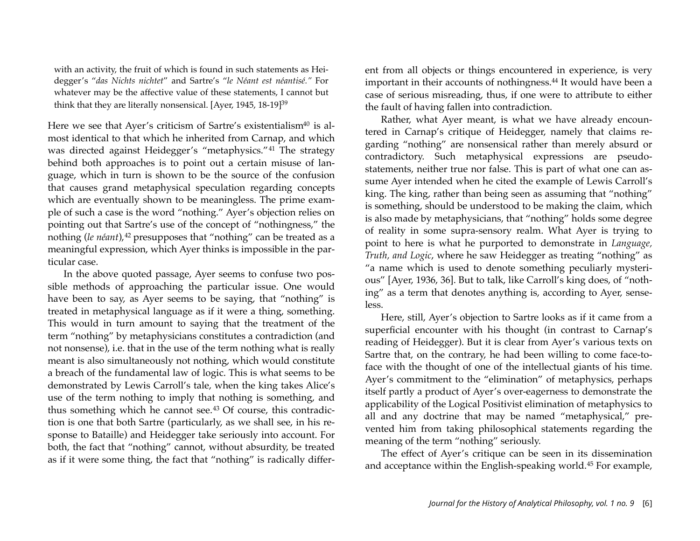with an activity, the fruit of which is found in such statements as Heidegger's "*das Nichts nichtet*" and Sartre's "*le Néant est néantisé."* For whatever may be the affective value of these statements, I cannot but think that they are literally nonsensical. [Ayer, 1945, 18-19[\]39](#page-18-0)

Here we see that Ayer's criticism of Sartre's existentialism<sup>40</sup> is almost identical to that which he inherited from Carnap, and which was directed against Heidegger's "metaphysics."[41](#page-18-2) The strategy behind both approaches is to point out a certain misuse of language, which in turn is shown to be the source of the confusion that causes grand metaphysical speculation regarding concepts which are eventually shown to be meaningless. The prime example of such a case is the word "nothing." Ayer's objection relies on pointing out that Sartre's use of the concept of "nothingness," the nothing (*le néant*),<sup>[42](#page-18-3)</sup> presupposes that "nothing" can be treated as a meaningful expression, which Ayer thinks is impossible in the particular case.

In the above quoted passage, Ayer seems to confuse two possible methods of approaching the particular issue. One would have been to say, as Ayer seems to be saying, that "nothing" is treated in metaphysical language as if it were a thing, something. This would in turn amount to saying that the treatment of the term "nothing" by metaphysicians constitutes a contradiction (and not nonsense), i.e. that in the use of the term nothing what is really meant is also simultaneously not nothing, which would constitute a breach of the fundamental law of logic. This is what seems to be demonstrated by Lewis Carroll's tale, when the king takes Alice's use of the term nothing to imply that nothing is something, and thus something which he cannot see.<sup>[43](#page-18-4)</sup> Of course, this contradiction is one that both Sartre (particularly, as we shall see, in his response to Bataille) and Heidegger take seriously into account. For both, the fact that "nothing" cannot, without absurdity, be treated as if it were some thing, the fact that "nothing" is radically different from all objects or things encountered in experience, is very important in their accounts of nothingness[.44](#page-18-5) It would have been a case of serious misreading, thus, if one were to attribute to either the fault of having fallen into contradiction.

Rather, what Ayer meant, is what we have already encountered in Carnap's critique of Heidegger, namely that claims regarding "nothing" are nonsensical rather than merely absurd or contradictory. Such metaphysical expressions are pseudostatements, neither true nor false. This is part of what one can assume Ayer intended when he cited the example of Lewis Carroll's king. The king, rather than being seen as assuming that "nothing" is something, should be understood to be making the claim, which is also made by metaphysicians, that "nothing" holds some degree of reality in some supra-sensory realm. What Ayer is trying to point to here is what he purported to demonstrate in *Language, Truth, and Logic*, where he saw Heidegger as treating "nothing" as "a name which is used to denote something peculiarly mysterious" [Ayer, 1936, 36]. But to talk, like Carroll's king does, of "nothing" as a term that denotes anything is, according to Ayer, senseless.

Here, still, Ayer's objection to Sartre looks as if it came from a superficial encounter with his thought (in contrast to Carnap's reading of Heidegger). But it is clear from Ayer's various texts on Sartre that, on the contrary, he had been willing to come face-toface with the thought of one of the intellectual giants of his time. Ayer's commitment to the "elimination" of metaphysics, perhaps itself partly a product of Ayer's over-eagerness to demonstrate the applicability of the Logical Positivist elimination of metaphysics to all and any doctrine that may be named "metaphysical," prevented him from taking philosophical statements regarding the meaning of the term "nothing" seriously.

The effect of Ayer's critique can be seen in its dissemination and acceptance within the English-speaking world.[45](#page-19-0) For example,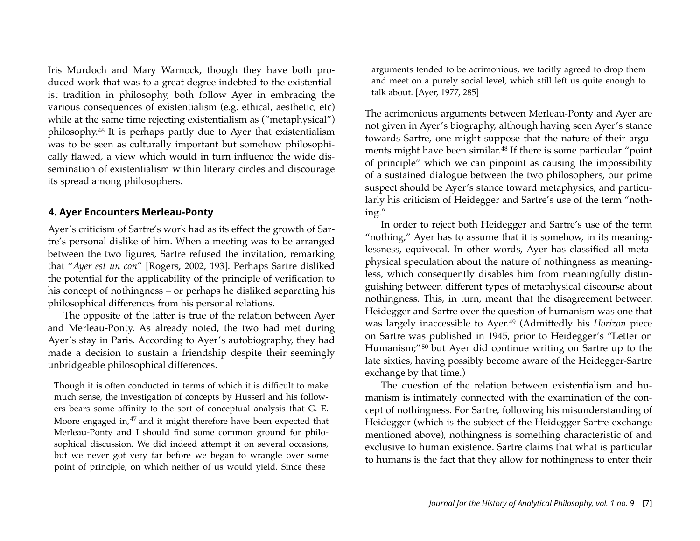Iris Murdoch and Mary Warnock, though they have both produced work that was to a great degree indebted to the existentialist tradition in philosophy, both follow Ayer in embracing the various consequences of existentialism (e.g. ethical, aesthetic, etc) while at the same time rejecting existentialism as ("metaphysical") philosophy.[46](#page-19-1) It is perhaps partly due to Ayer that existentialism was to be seen as culturally important but somehow philosophically flawed, a view which would in turn influence the wide dissemination of existentialism within literary circles and discourage its spread among philosophers.

#### **4. Ayer Encounters Merleau-Ponty**

Ayer's criticism of Sartre's work had as its effect the growth of Sartre's personal dislike of him. When a meeting was to be arranged between the two figures, Sartre refused the invitation, remarking that "*Ayer est un con*" [Rogers, 2002, 193]. Perhaps Sartre disliked the potential for the applicability of the principle of verification to his concept of nothingness – or perhaps he disliked separating his philosophical differences from his personal relations.

The opposite of the latter is true of the relation between Ayer and Merleau-Ponty. As already noted, the two had met during Ayer's stay in Paris. According to Ayer's autobiography, they had made a decision to sustain a friendship despite their seemingly unbridgeable philosophical differences.

Though it is often conducted in terms of which it is difficult to make much sense, the investigation of concepts by Husserl and his followers bears some affinity to the sort of conceptual analysis that G. E. Moore engaged in,<sup>[47](#page-19-2)</sup> and it might therefore have been expected that Merleau-Ponty and I should find some common ground for philosophical discussion. We did indeed attempt it on several occasions, but we never got very far before we began to wrangle over some point of principle, on which neither of us would yield. Since these

arguments tended to be acrimonious, we tacitly agreed to drop them and meet on a purely social level, which still left us quite enough to talk about. [Ayer, 1977, 285]

The acrimonious arguments between Merleau-Ponty and Ayer are not given in Ayer's biography, although having seen Ayer's stance towards Sartre, one might suppose that the nature of their arguments might have been similar.[48](#page-19-3) If there is some particular "point of principle" which we can pinpoint as causing the impossibility of a sustained dialogue between the two philosophers, our prime suspect should be Ayer's stance toward metaphysics, and particularly his criticism of Heidegger and Sartre's use of the term "nothing."

In order to reject both Heidegger and Sartre's use of the term "nothing," Ayer has to assume that it is somehow, in its meaninglessness, equivocal. In other words, Ayer has classified all metaphysical speculation about the nature of nothingness as meaningless, which consequently disables him from meaningfully distinguishing between different types of metaphysical discourse about nothingness. This, in turn, meant that the disagreement between Heidegger and Sartre over the question of humanism was one that was largely inaccessible to Ayer.[49](#page-19-4) (Admittedly his *Horizon* piece on Sartre was published in 1945, prior to Heidegger's "Letter on Humanism;"[50](#page-19-5) but Ayer did continue writing on Sartre up to the late sixties, having possibly become aware of the Heidegger-Sartre exchange by that time.)

The question of the relation between existentialism and humanism is intimately connected with the examination of the concept of nothingness. For Sartre, following his misunderstanding of Heidegger (which is the subject of the Heidegger-Sartre exchange mentioned above), nothingness is something characteristic of and exclusive to human existence. Sartre claims that what is particular to humans is the fact that they allow for nothingness to enter their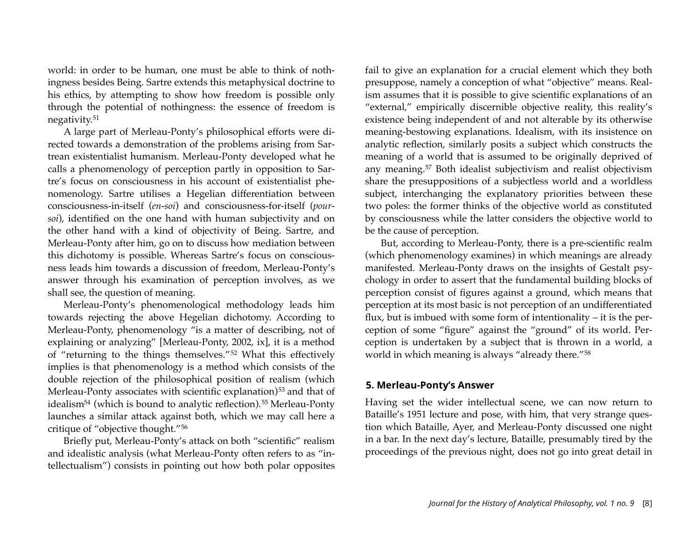world: in order to be human, one must be able to think of nothingness besides Being. Sartre extends this metaphysical doctrine to his ethics, by attempting to show how freedom is possible only through the potential of nothingness: the essence of freedom is negativity.[51](#page-19-6)

A large part of Merleau-Ponty's philosophical efforts were directed towards a demonstration of the problems arising from Sartrean existentialist humanism. Merleau-Ponty developed what he calls a phenomenology of perception partly in opposition to Sartre's focus on consciousness in his account of existentialist phenomenology. Sartre utilises a Hegelian differentiation between consciousness-in-itself (*en-soi*) and consciousness-for-itself (*poursoi*), identified on the one hand with human subjectivity and on the other hand with a kind of objectivity of Being. Sartre, and Merleau-Ponty after him, go on to discuss how mediation between this dichotomy is possible. Whereas Sartre's focus on consciousness leads him towards a discussion of freedom, Merleau-Ponty's answer through his examination of perception involves, as we shall see, the question of meaning.

Merleau-Ponty's phenomenological methodology leads him towards rejecting the above Hegelian dichotomy. According to Merleau-Ponty, phenomenology "is a matter of describing, not of explaining or analyzing" [Merleau-Ponty, 2002, ix], it is a method of "returning to the things themselves."[52](#page-19-7) What this effectively implies is that phenomenology is a method which consists of the double rejection of the philosophical position of realism (which Merleau-Ponty associates with scientific explanation)<sup>[53](#page-19-8)</sup> and that of idealism<sup>54</sup> (which is bound to analytic reflection).<sup>[55](#page-20-0)</sup> Merleau-Ponty launches a similar attack against both, which we may call here a critique of "objective thought."[56](#page-20-1)

Briefly put, Merleau-Ponty's attack on both "scientific" realism and idealistic analysis (what Merleau-Ponty often refers to as "intellectualism") consists in pointing out how both polar opposites

fail to give an explanation for a crucial element which they both presuppose, namely a conception of what "objective" means. Realism assumes that it is possible to give scientific explanations of an "external," empirically discernible objective reality, this reality's existence being independent of and not alterable by its otherwise meaning-bestowing explanations. Idealism, with its insistence on analytic reflection, similarly posits a subject which constructs the meaning of a world that is assumed to be originally deprived of any meaning[.57](#page-20-2) Both idealist subjectivism and realist objectivism share the presuppositions of a subjectless world and a worldless subject, interchanging the explanatory priorities between these two poles: the former thinks of the objective world as constituted by consciousness while the latter considers the objective world to be the cause of perception.

But, according to Merleau-Ponty, there is a pre-scientific realm (which phenomenology examines) in which meanings are already manifested. Merleau-Ponty draws on the insights of Gestalt psychology in order to assert that the fundamental building blocks of perception consist of figures against a ground, which means that perception at its most basic is not perception of an undifferentiated flux, but is imbued with some form of intentionality – it is the perception of some "figure" against the "ground" of its world. Perception is undertaken by a subject that is thrown in a world, a world in which meaning is always "already there."[58](#page-20-3)

#### **5. Merleau-Ponty's Answer**

Having set the wider intellectual scene, we can now return to Bataille's 1951 lecture and pose, with him, that very strange question which Bataille, Ayer, and Merleau-Ponty discussed one night in a bar. In the next day's lecture, Bataille, presumably tired by the proceedings of the previous night, does not go into great detail in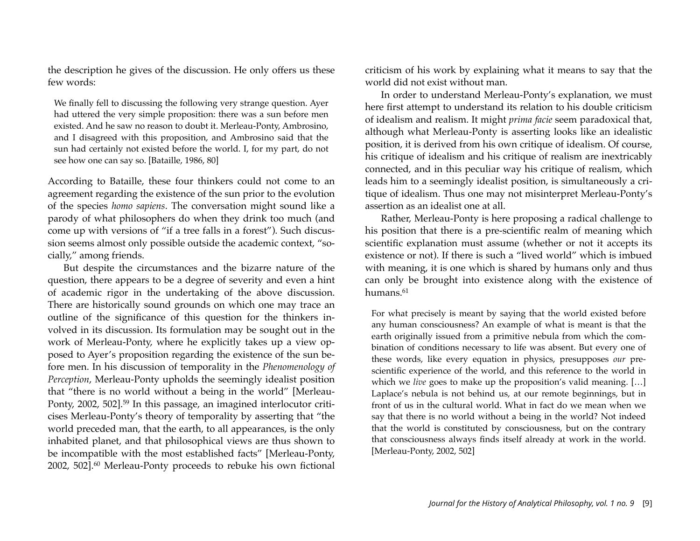the description he gives of the discussion. He only offers us these few words:

We finally fell to discussing the following very strange question. Ayer had uttered the very simple proposition: there was a sun before men existed. And he saw no reason to doubt it. Merleau-Ponty, Ambrosino, and I disagreed with this proposition, and Ambrosino said that the sun had certainly not existed before the world. I, for my part, do not see how one can say so. [Bataille, 1986, 80]

According to Bataille, these four thinkers could not come to an agreement regarding the existence of the sun prior to the evolution of the species *homo sapiens*. The conversation might sound like a parody of what philosophers do when they drink too much (and come up with versions of "if a tree falls in a forest"). Such discussion seems almost only possible outside the academic context, "socially," among friends.

But despite the circumstances and the bizarre nature of the question, there appears to be a degree of severity and even a hint of academic rigor in the undertaking of the above discussion. There are historically sound grounds on which one may trace an outline of the significance of this question for the thinkers involved in its discussion. Its formulation may be sought out in the work of Merleau-Ponty, where he explicitly takes up a view opposed to Ayer's proposition regarding the existence of the sun before men. In his discussion of temporality in the *Phenomenology of Perception*, Merleau-Ponty upholds the seemingly idealist position that "there is no world without a being in the world" [Merleau-Ponty, 2002, 502].<sup>59</sup> In this passage, an imagined interlocutor criticises Merleau-Ponty's theory of temporality by asserting that "the world preceded man, that the earth, to all appearances, is the only inhabited planet, and that philosophical views are thus shown to be incompatible with the most established facts" [Merleau-Ponty, 2002, 502][.60](#page-20-5) Merleau-Ponty proceeds to rebuke his own fictional

criticism of his work by explaining what it means to say that the world did not exist without man.

In order to understand Merleau-Ponty's explanation, we must here first attempt to understand its relation to his double criticism of idealism and realism. It might *prima facie* seem paradoxical that, although what Merleau-Ponty is asserting looks like an idealistic position, it is derived from his own critique of idealism. Of course, his critique of idealism and his critique of realism are inextricably connected, and in this peculiar way his critique of realism, which leads him to a seemingly idealist position, is simultaneously a critique of idealism. Thus one may not misinterpret Merleau-Ponty's assertion as an idealist one at all.

Rather, Merleau-Ponty is here proposing a radical challenge to his position that there is a pre-scientific realm of meaning which scientific explanation must assume (whether or not it accepts its existence or not). If there is such a "lived world" which is imbued with meaning, it is one which is shared by humans only and thus can only be brought into existence along with the existence of humans.<sup>61</sup>

For what precisely is meant by saying that the world existed before any human consciousness? An example of what is meant is that the earth originally issued from a primitive nebula from which the combination of conditions necessary to life was absent. But every one of these words, like every equation in physics, presupposes *our* prescientific experience of the world, and this reference to the world in which we *live* goes to make up the proposition's valid meaning. […] Laplace's nebula is not behind us, at our remote beginnings, but in front of us in the cultural world. What in fact do we mean when we say that there is no world without a being in the world? Not indeed that the world is constituted by consciousness, but on the contrary that consciousness always finds itself already at work in the world. [Merleau-Ponty, 2002, 502]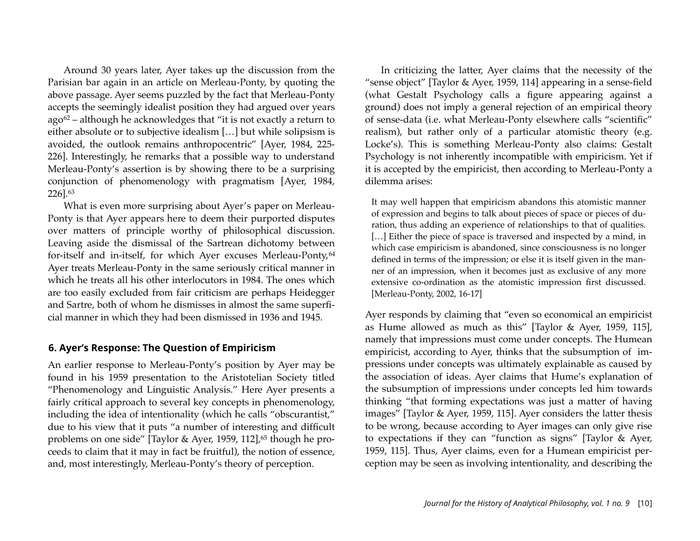Around 30 years later, Ayer takes up the discussion from the Parisian bar again in an article on Merleau-Ponty, by quoting the above passage. Ayer seems puzzled by the fact that Merleau-Ponty accepts the seemingly idealist position they had argued over years  $ago^{62}$  $ago^{62}$  $ago^{62}$  – although he acknowledges that "it is not exactly a return to either absolute or to subjective idealism […] but while solipsism is avoided, the outlook remains anthropocentric" [Ayer, 1984, 225- 226]. Interestingly, he remarks that a possible way to understand Merleau-Ponty's assertion is by showing there to be a surprising conjunction of phenomenology with pragmatism [Ayer, 1984, 226].[63](#page-21-0)

What is even more surprising about Ayer's paper on Merleau-Ponty is that Ayer appears here to deem their purported disputes over matters of principle worthy of philosophical discussion. Leaving aside the dismissal of the Sartrean dichotomy between for-itself and in-itself, for which Ayer excuses Merleau-Ponty,<sup>[64](#page-21-1)</sup> Ayer treats Merleau-Ponty in the same seriously critical manner in which he treats all his other interlocutors in 1984. The ones which are too easily excluded from fair criticism are perhaps Heidegger and Sartre, both of whom he dismisses in almost the same superficial manner in which they had been dismissed in 1936 and 1945.

#### **6. Ayer's Response: The Question of Empiricism**

An earlier response to Merleau-Ponty's position by Ayer may be found in his 1959 presentation to the Aristotelian Society titled "Phenomenology and Linguistic Analysis." Here Ayer presents a fairly critical approach to several key concepts in phenomenology, including the idea of intentionality (which he calls "obscurantist," due to his view that it puts "a number of interesting and difficult problems on one side" [Taylor & Ayer, 1959, 112],<sup>65</sup> though he proceeds to claim that it may in fact be fruitful), the notion of essence, and, most interestingly, Merleau-Ponty's theory of perception.

In criticizing the latter, Ayer claims that the necessity of the "sense object" [Taylor & Ayer, 1959, 114] appearing in a sense-field (what Gestalt Psychology calls a figure appearing against a ground) does not imply a general rejection of an empirical theory of sense-data (i.e. what Merleau-Ponty elsewhere calls "scientific" realism), but rather only of a particular atomistic theory (e.g. Locke's). This is something Merleau-Ponty also claims: Gestalt Psychology is not inherently incompatible with empiricism. Yet if it is accepted by the empiricist, then according to Merleau-Ponty a dilemma arises:

It may well happen that empiricism abandons this atomistic manner of expression and begins to talk about pieces of space or pieces of duration, thus adding an experience of relationships to that of qualities. [...] Either the piece of space is traversed and inspected by a mind, in which case empiricism is abandoned, since consciousness is no longer defined in terms of the impression; or else it is itself given in the manner of an impression, when it becomes just as exclusive of any more extensive co-ordination as the atomistic impression first discussed. [Merleau-Ponty, 2002, 16-17]

Ayer responds by claiming that "even so economical an empiricist as Hume allowed as much as this" [Taylor & Ayer, 1959, 115], namely that impressions must come under concepts. The Humean empiricist, according to Ayer, thinks that the subsumption of impressions under concepts was ultimately explainable as caused by the association of ideas. Ayer claims that Hume's explanation of the subsumption of impressions under concepts led him towards thinking "that forming expectations was just a matter of having images" [Taylor & Ayer, 1959, 115]. Ayer considers the latter thesis to be wrong, because according to Ayer images can only give rise to expectations if they can "function as signs" [Taylor & Ayer, 1959, 115]. Thus, Ayer claims, even for a Humean empiricist perception may be seen as involving intentionality, and describing the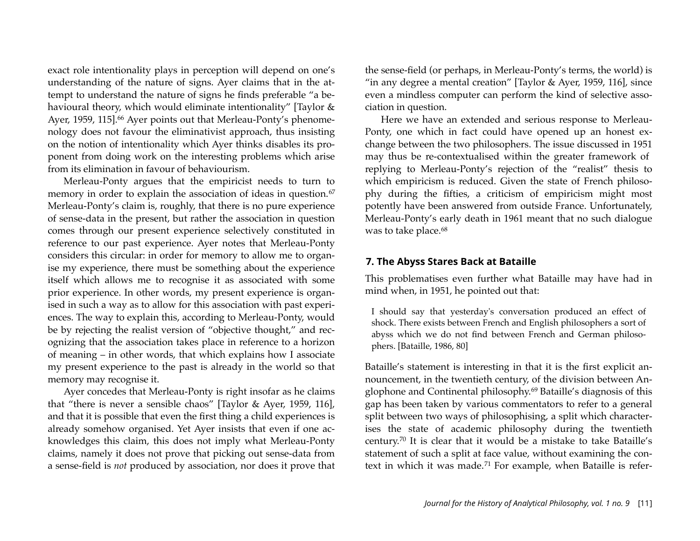exact role intentionality plays in perception will depend on one's understanding of the nature of signs. Ayer claims that in the attempt to understand the nature of signs he finds preferable "a behavioural theory, which would eliminate intentionality" [Taylor & Ayer, 1959, 115].<sup>66</sup> Ayer points out that Merleau-Ponty's phenomenology does not favour the eliminativist approach, thus insisting on the notion of intentionality which Ayer thinks disables its proponent from doing work on the interesting problems which arise from its elimination in favour of behaviourism.

Merleau-Ponty argues that the empiricist needs to turn to memory in order to explain the association of ideas in question.<sup>[67](#page-21-4)</sup> Merleau-Ponty's claim is, roughly, that there is no pure experience of sense-data in the present, but rather the association in question comes through our present experience selectively constituted in reference to our past experience. Ayer notes that Merleau-Ponty considers this circular: in order for memory to allow me to organise my experience, there must be something about the experience itself which allows me to recognise it as associated with some prior experience. In other words, my present experience is organised in such a way as to allow for this association with past experiences. The way to explain this, according to Merleau-Ponty, would be by rejecting the realist version of "objective thought," and recognizing that the association takes place in reference to a horizon of meaning – in other words, that which explains how I associate my present experience to the past is already in the world so that memory may recognise it.

Ayer concedes that Merleau-Ponty is right insofar as he claims that "there is never a sensible chaos" [Taylor & Ayer, 1959, 116], and that it is possible that even the first thing a child experiences is already somehow organised. Yet Ayer insists that even if one acknowledges this claim, this does not imply what Merleau-Ponty claims, namely it does not prove that picking out sense-data from a sense-field is *not* produced by association, nor does it prove that the sense-field (or perhaps, in Merleau-Ponty's terms, the world) is "in any degree a mental creation" [Taylor & Ayer, 1959, 116], since even a mindless computer can perform the kind of selective association in question.

Here we have an extended and serious response to Merleau-Ponty, one which in fact could have opened up an honest exchange between the two philosophers. The issue discussed in 1951 may thus be re-contextualised within the greater framework of replying to Merleau-Ponty's rejection of the "realist" thesis to which empiricism is reduced. Given the state of French philosophy during the fifties, a criticism of empiricism might most potently have been answered from outside France. Unfortunately, Merleau-Ponty's early death in 1961 meant that no such dialogue was to take place.<sup>[68](#page-21-5)</sup>

#### **7. The Abyss Stares Back at Bataille**

This problematises even further what Bataille may have had in mind when, in 1951, he pointed out that:

I should say that yesterday's conversation produced an effect of shock. There exists between French and English philosophers a sort of abyss which we do not find between French and German philosophers. [Bataille, 1986, 80]

Bataille's statement is interesting in that it is the first explicit announcement, in the twentieth century, of the division between Anglophone and Continental philosophy.[69](#page-21-6) Bataille's diagnosis of this gap has been taken by various commentators to refer to a general split between two ways of philosophising, a split which characterises the state of academic philosophy during the twentieth century.[70](#page-21-7) It is clear that it would be a mistake to take Bataille's statement of such a split at face value, without examining the context in which it was made.[71](#page-21-8) For example, when Bataille is refer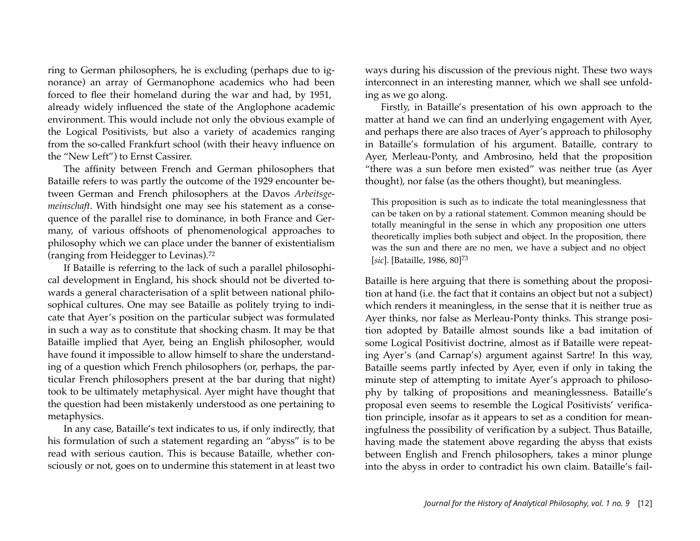ring to German philosophers, he is excluding (perhaps due to ignorance) an array of Germanophone academics who had been forced to flee their homeland during the war and had, by 1951, already widely influenced the state of the Anglophone academic environment. This would include not only the obvious example of the Logical Positivists, but also a variety of academics ranging from the so-called Frankfurt school (with their heavy influence on the "New Left") to Ernst Cassirer.

The affinity between French and German philosophers that Bataille refers to was partly the outcome of the 1929 encounter between German and French philosophers at the Davos *Arbeitsgemeinschaft*. With hindsight one may see his statement as a consequence of the parallel rise to dominance, in both France and Germany, of various offshoots of phenomenological approaches to philosophy which we can place under the banner of existentialism (ranging from Heidegger to Levinas).[72](#page-21-9)

If Bataille is referring to the lack of such a parallel philosophical development in England, his shock should not be diverted towards a general characterisation of a split between national philosophical cultures. One may see Bataille as politely trying to indicate that Ayer's position on the particular subject was formulated in such a way as to constitute that shocking chasm. It may be that Bataille implied that Ayer, being an English philosopher, would have found it impossible to allow himself to share the understanding of a question which French philosophers (or, perhaps, the particular French philosophers present at the bar during that night) took to be ultimately metaphysical. Ayer might have thought that the question had been mistakenly understood as one pertaining to metaphysics.

In any case, Bataille's text indicates to us, if only indirectly, that his formulation of such a statement regarding an "abyss" is to be read with serious caution. This is because Bataille, whether consciously or not, goes on to undermine this statement in at least two ways during his discussion of the previous night. These two ways interconnect in an interesting manner, which we shall see unfolding as we go along.

Firstly, in Bataille's presentation of his own approach to the matter at hand we can find an underlying engagement with Ayer, and perhaps there are also traces of Ayer's approach to philosophy in Bataille's formulation of his argument. Bataille, contrary to Ayer, Merleau-Ponty, and Ambrosino, held that the proposition "there was a sun before men existed" was neither true (as Ayer thought), nor false (as the others thought), but meaningless.

This proposition is such as to indicate the total meaninglessness that can be taken on by a rational statement. Common meaning should be totally meaningful in the sense in which any proposition one utters theoretically implies both subject and object. In the proposition, there was the sun and there are no men, we have a subject and no object [*sic*]. [Bataille, 1986, 80][73](#page-21-10)

Bataille is here arguing that there is something about the proposition at hand (i.e. the fact that it contains an object but not a subject) which renders it meaningless, in the sense that it is neither true as Ayer thinks, nor false as Merleau-Ponty thinks. This strange position adopted by Bataille almost sounds like a bad imitation of some Logical Positivist doctrine, almost as if Bataille were repeating Ayer's (and Carnap's) argument against Sartre! In this way, Bataille seems partly infected by Ayer, even if only in taking the minute step of attempting to imitate Ayer's approach to philosophy by talking of propositions and meaninglessness. Bataille's proposal even seems to resemble the Logical Positivists' verification principle, insofar as it appears to set as a condition for meaningfulness the possibility of verification by a subject. Thus Bataille, having made the statement above regarding the abyss that exists between English and French philosophers, takes a minor plunge into the abyss in order to contradict his own claim. Bataille's fail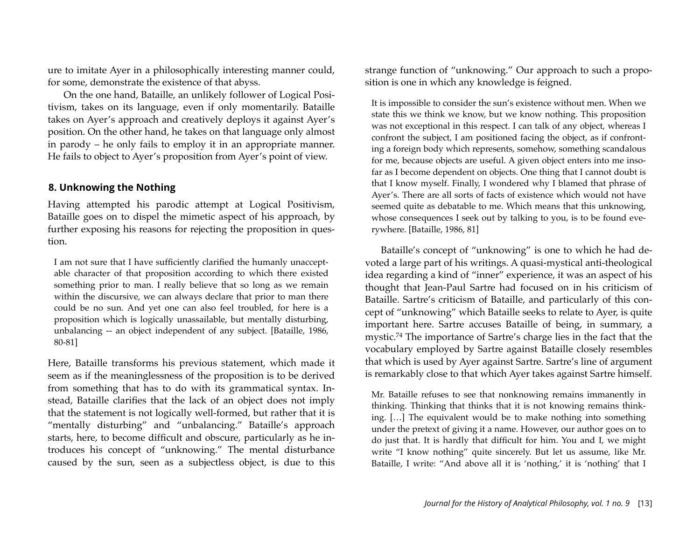ure to imitate Ayer in a philosophically interesting manner could, for some, demonstrate the existence of that abyss.

On the one hand, Bataille, an unlikely follower of Logical Positivism, takes on its language, even if only momentarily. Bataille takes on Ayer's approach and creatively deploys it against Ayer's position. On the other hand, he takes on that language only almost in parody – he only fails to employ it in an appropriate manner. He fails to object to Ayer's proposition from Ayer's point of view.

#### **8. Unknowing the Nothing**

Having attempted his parodic attempt at Logical Positivism, Bataille goes on to dispel the mimetic aspect of his approach, by further exposing his reasons for rejecting the proposition in question.

I am not sure that I have sufficiently clarified the humanly unacceptable character of that proposition according to which there existed something prior to man. I really believe that so long as we remain within the discursive, we can always declare that prior to man there could be no sun. And yet one can also feel troubled, for here is a proposition which is logically unassailable, but mentally disturbing, unbalancing -- an object independent of any subject. [Bataille, 1986, 80-81]

Here, Bataille transforms his previous statement, which made it seem as if the meaninglessness of the proposition is to be derived from something that has to do with its grammatical syntax. Instead, Bataille clarifies that the lack of an object does not imply that the statement is not logically well-formed, but rather that it is "mentally disturbing" and "unbalancing." Bataille's approach starts, here, to become difficult and obscure, particularly as he introduces his concept of "unknowing." The mental disturbance caused by the sun, seen as a subjectless object, is due to this strange function of "unknowing." Our approach to such a proposition is one in which any knowledge is feigned.

It is impossible to consider the sun's existence without men. When we state this we think we know, but we know nothing. This proposition was not exceptional in this respect. I can talk of any object, whereas I confront the subject, I am positioned facing the object, as if confronting a foreign body which represents, somehow, something scandalous for me, because objects are useful. A given object enters into me insofar as I become dependent on objects. One thing that I cannot doubt is that I know myself. Finally, I wondered why I blamed that phrase of Ayer's. There are all sorts of facts of existence which would not have seemed quite as debatable to me. Which means that this unknowing, whose consequences I seek out by talking to you, is to be found everywhere. [Bataille, 1986, 81]

Bataille's concept of "unknowing" is one to which he had devoted a large part of his writings. A quasi-mystical anti-theological idea regarding a kind of "inner" experience, it was an aspect of his thought that Jean-Paul Sartre had focused on in his criticism of Bataille. Sartre's criticism of Bataille, and particularly of this concept of "unknowing" which Bataille seeks to relate to Ayer, is quite important here. Sartre accuses Bataille of being, in summary, a mystic[.74](#page-21-11) The importance of Sartre's charge lies in the fact that the vocabulary employed by Sartre against Bataille closely resembles that which is used by Ayer against Sartre. Sartre's line of argument is remarkably close to that which Ayer takes against Sartre himself.

Mr. Bataille refuses to see that nonknowing remains immanently in thinking. Thinking that thinks that it is not knowing remains thinking. […] The equivalent would be to make nothing into something under the pretext of giving it a name. However, our author goes on to do just that. It is hardly that difficult for him. You and I, we might write "I know nothing" quite sincerely. But let us assume, like Mr. Bataille, I write: "And above all it is 'nothing,' it is 'nothing' that I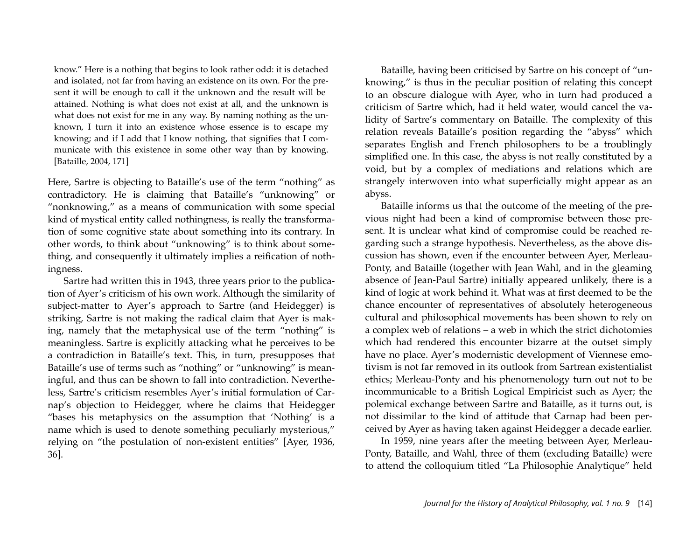know." Here is a nothing that begins to look rather odd: it is detached and isolated, not far from having an existence on its own. For the present it will be enough to call it the unknown and the result will be attained. Nothing is what does not exist at all, and the unknown is what does not exist for me in any way. By naming nothing as the unknown, I turn it into an existence whose essence is to escape my knowing; and if I add that I know nothing, that signifies that I communicate with this existence in some other way than by knowing. [Bataille, 2004, 171]

Here, Sartre is objecting to Bataille's use of the term "nothing" as contradictory. He is claiming that Bataille's "unknowing" or "nonknowing," as a means of communication with some special kind of mystical entity called nothingness, is really the transformation of some cognitive state about something into its contrary. In other words, to think about "unknowing" is to think about something, and consequently it ultimately implies a reification of nothingness.

Sartre had written this in 1943, three years prior to the publication of Ayer's criticism of his own work. Although the similarity of subject-matter to Ayer's approach to Sartre (and Heidegger) is striking, Sartre is not making the radical claim that Ayer is making, namely that the metaphysical use of the term "nothing" is meaningless. Sartre is explicitly attacking what he perceives to be a contradiction in Bataille's text. This, in turn, presupposes that Bataille's use of terms such as "nothing" or "unknowing" is meaningful, and thus can be shown to fall into contradiction. Nevertheless, Sartre's criticism resembles Ayer's initial formulation of Carnap's objection to Heidegger, where he claims that Heidegger "bases his metaphysics on the assumption that 'Nothing' is a name which is used to denote something peculiarly mysterious," relying on "the postulation of non-existent entities" [Ayer, 1936, 36].

Bataille, having been criticised by Sartre on his concept of "unknowing," is thus in the peculiar position of relating this concept to an obscure dialogue with Ayer, who in turn had produced a criticism of Sartre which, had it held water, would cancel the validity of Sartre's commentary on Bataille. The complexity of this relation reveals Bataille's position regarding the "abyss" which separates English and French philosophers to be a troublingly simplified one. In this case, the abyss is not really constituted by a void, but by a complex of mediations and relations which are strangely interwoven into what superficially might appear as an abyss.

Bataille informs us that the outcome of the meeting of the previous night had been a kind of compromise between those present. It is unclear what kind of compromise could be reached regarding such a strange hypothesis. Nevertheless, as the above discussion has shown, even if the encounter between Ayer, Merleau-Ponty, and Bataille (together with Jean Wahl, and in the gleaming absence of Jean-Paul Sartre) initially appeared unlikely, there is a kind of logic at work behind it. What was at first deemed to be the chance encounter of representatives of absolutely heterogeneous cultural and philosophical movements has been shown to rely on a complex web of relations – a web in which the strict dichotomies which had rendered this encounter bizarre at the outset simply have no place. Ayer's modernistic development of Viennese emotivism is not far removed in its outlook from Sartrean existentialist ethics; Merleau-Ponty and his phenomenology turn out not to be incommunicable to a British Logical Empiricist such as Ayer; the polemical exchange between Sartre and Bataille, as it turns out, is not dissimilar to the kind of attitude that Carnap had been perceived by Ayer as having taken against Heidegger a decade earlier.

In 1959, nine years after the meeting between Ayer, Merleau-Ponty, Bataille, and Wahl, three of them (excluding Bataille) were to attend the colloquium titled "La Philosophie Analytique" held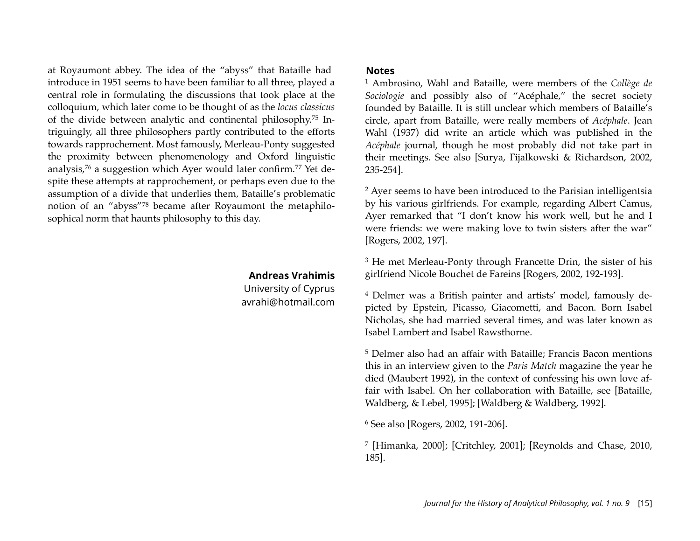at Royaumont abbey. The idea of the "abyss" that Bataille had introduce in 1951 seems to have been familiar to all three, played a central role in formulating the discussions that took place at the colloquium, which later come to be thought of as the *locus classicus* of the divide between analytic and continental philosophy.[75](#page-21-12) Intriguingly, all three philosophers partly contributed to the efforts towards rapprochement. Most famously, Merleau-Ponty suggested the proximity between phenomenology and Oxford linguistic analysis,[76](#page-21-13) a suggestion which Ayer would later confirm.[77](#page-21-14) Yet despite these attempts at rapprochement, or perhaps even due to the assumption of a divide that underlies them, Bataille's problematic notion of an "abyss"[78](#page-21-15) became after Royaumont the metaphilosophical norm that haunts philosophy to this day.

## **Andreas Vrahimis**

University of Cyprus avrahi@hotmail.com

#### **Notes**

<span id="page-15-0"></span>1 Ambrosino, Wahl and Bataille, were members of the *Collège de Sociologie* and possibly also of "Acéphale," the secret society founded by Bataille. It is still unclear which members of Bataille's circle, apart from Bataille, were really members of *Acéphale*. Jean Wahl (1937) did write an article which was published in the *Acéphale* journal, though he most probably did not take part in their meetings. See also [Surya, Fijalkowski & Richardson, 2002, 235-254].

<span id="page-15-1"></span>2 Ayer seems to have been introduced to the Parisian intelligentsia by his various girlfriends. For example, regarding Albert Camus, Ayer remarked that "I don't know his work well, but he and I were friends: we were making love to twin sisters after the war" [Rogers, 2002, 197].

<span id="page-15-2"></span>3 He met Merleau-Ponty through Francette Drin, the sister of his girlfriend Nicole Bouchet de Fareins [Rogers, 2002, 192-193].

<span id="page-15-3"></span>4 Delmer was a British painter and artists' model, famously depicted by Epstein, Picasso, Giacometti, and Bacon. Born Isabel Nicholas, she had married several times, and was later known as Isabel Lambert and Isabel Rawsthorne.

<span id="page-15-4"></span>5 Delmer also had an affair with Bataille; Francis Bacon mentions this in an interview given to the *Paris Match* magazine the year he died (Maubert 1992), in the context of confessing his own love affair with Isabel. On her collaboration with Bataille, see [Bataille, Waldberg, & Lebel, 1995]; [Waldberg & Waldberg, 1992].

<span id="page-15-5"></span>6 See also [Rogers, 2002, 191-206].

<span id="page-15-6"></span>7 [Himanka, 2000]; [Critchley, 2001]; [Reynolds and Chase, 2010, 185].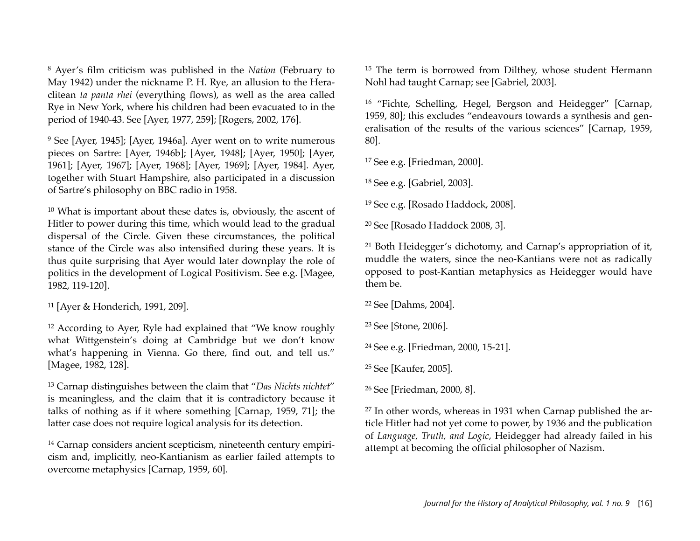<span id="page-16-0"></span>8 Ayer's film criticism was published in the *Nation* (February to May 1942) under the nickname P. H. Rye, an allusion to the Heraclitean *ta panta rhei* (everything flows), as well as the area called Rye in New York, where his children had been evacuated to in the period of 1940-43. See [Ayer, 1977, 259]; [Rogers, 2002, 176].

<span id="page-16-1"></span>9 See [Ayer, 1945]; [Ayer, 1946a]. Ayer went on to write numerous pieces on Sartre: [Ayer, 1946b]; [Ayer, 1948]; [Ayer, 1950]; [Ayer, 1961]; [Ayer, 1967]; [Ayer, 1968]; [Ayer, 1969]; [Ayer, 1984]. Ayer, together with Stuart Hampshire, also participated in a discussion of Sartre's philosophy on BBC radio in 1958.

<span id="page-16-2"></span>10 What is important about these dates is, obviously, the ascent of Hitler to power during this time, which would lead to the gradual dispersal of the Circle. Given these circumstances, the political stance of the Circle was also intensified during these years. It is thus quite surprising that Ayer would later downplay the role of politics in the development of Logical Positivism. See e.g. [Magee, 1982, 119-120].

<span id="page-16-3"></span>11 [Ayer & Honderich, 1991, 209].

<span id="page-16-4"></span><sup>12</sup> According to Ayer, Ryle had explained that "We know roughly what Wittgenstein's doing at Cambridge but we don't know what's happening in Vienna. Go there, find out, and tell us." [Magee, 1982, 128].

<span id="page-16-5"></span>13 Carnap distinguishes between the claim that "*Das Nichts nichtet*" is meaningless, and the claim that it is contradictory because it talks of nothing as if it where something [Carnap, 1959, 71]; the latter case does not require logical analysis for its detection.

<span id="page-16-6"></span>14 Carnap considers ancient scepticism, nineteenth century empiricism and, implicitly, neo-Kantianism as earlier failed attempts to overcome metaphysics [Carnap, 1959, 60].

<span id="page-16-7"></span><sup>15</sup> The term is borrowed from Dilthey, whose student Hermann Nohl had taught Carnap; see [Gabriel, 2003].

<span id="page-16-8"></span><sup>16</sup> "Fichte, Schelling, Hegel, Bergson and Heidegger" [Carnap, 1959, 80]; this excludes "endeavours towards a synthesis and generalisation of the results of the various sciences" [Carnap, 1959, 80].

<span id="page-16-9"></span>17 See e.g. [Friedman, 2000].

<span id="page-16-10"></span>18 See e.g. [Gabriel, 2003].

<span id="page-16-11"></span>19 See e.g. [Rosado Haddock, 2008].

<span id="page-16-12"></span><sup>20</sup> See [Rosado Haddock 2008, 3].

<span id="page-16-13"></span>21 Both Heidegger's dichotomy, and Carnap's appropriation of it, muddle the waters, since the neo-Kantians were not as radically opposed to post-Kantian metaphysics as Heidegger would have them be.

<span id="page-16-14"></span>22 See [Dahms, 2004].

<span id="page-16-15"></span><sup>23</sup> See [Stone, 2006].

<span id="page-16-16"></span>24 See e.g. [Friedman, 2000, 15-21].

<span id="page-16-17"></span>25 See [Kaufer, 2005].

<span id="page-16-18"></span>26 See [Friedman, 2000, 8].

<span id="page-16-19"></span>27 In other words, whereas in 1931 when Carnap published the article Hitler had not yet come to power, by 1936 and the publication of *Language, Truth, and Logic*, Heidegger had already failed in his attempt at becoming the official philosopher of Nazism.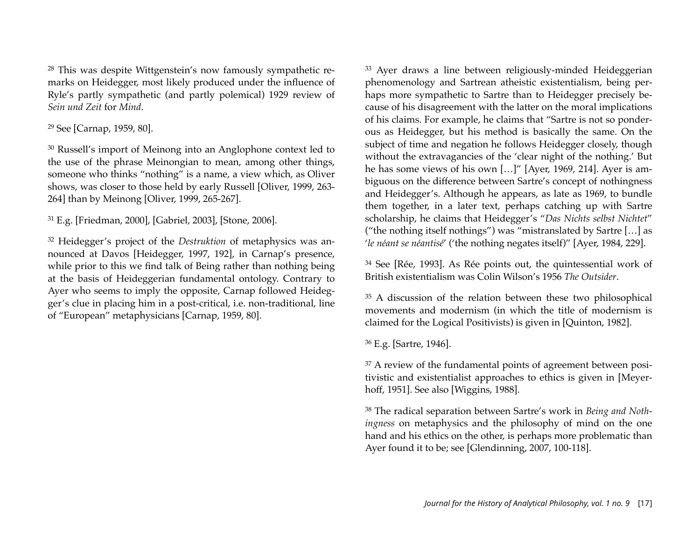<span id="page-17-0"></span>28 This was despite Wittgenstein's now famously sympathetic remarks on Heidegger, most likely produced under the influence of Ryle's partly sympathetic (and partly polemical) 1929 review of *Sein und Zeit* for *Mind*.

#### <span id="page-17-1"></span>29 See [Carnap, 1959, 80].

<span id="page-17-2"></span>30 Russell's import of Meinong into an Anglophone context led to the use of the phrase Meinongian to mean, among other things, someone who thinks "nothing" is a name, a view which, as Oliver shows, was closer to those held by early Russell [Oliver, 1999, 263- 264] than by Meinong [Oliver, 1999, 265-267].

<span id="page-17-3"></span>31 E.g. [Friedman, 2000], [Gabriel, 2003], [Stone, 2006].

<span id="page-17-4"></span>32 Heidegger's project of the *Destruktion* of metaphysics was announced at Davos [Heidegger, 1997, 192], in Carnap's presence, while prior to this we find talk of Being rather than nothing being at the basis of Heideggerian fundamental ontology. Contrary to Ayer who seems to imply the opposite, Carnap followed Heidegger's clue in placing him in a post-critical, i.e. non-traditional, line of "European" metaphysicians [Carnap, 1959, 80].

<span id="page-17-5"></span>33 Ayer draws a line between religiously-minded Heideggerian phenomenology and Sartrean atheistic existentialism, being perhaps more sympathetic to Sartre than to Heidegger precisely because of his disagreement with the latter on the moral implications of his claims. For example, he claims that "Sartre is not so ponderous as Heidegger, but his method is basically the same. On the subject of time and negation he follows Heidegger closely, though without the extravagancies of the 'clear night of the nothing.' But he has some views of his own [...]" [Ayer, 1969, 214]. Ayer is ambiguous on the difference between Sartre's concept of nothingness and Heidegger's. Although he appears, as late as 1969, to bundle them together, in a later text, perhaps catching up with Sartre scholarship, he claims that Heidegger's "*Das Nichts selbst Nichtet*" ("the nothing itself nothings") was "mistranslated by Sartre […] as '*le néant se néantisé*' ('the nothing negates itself)" [Ayer, 1984, 229].

<span id="page-17-6"></span>34 See [Rée, 1993]. As Rée points out, the quintessential work of British existentialism was Colin Wilson's 1956 *The Outsider*.

<span id="page-17-7"></span>35 A discussion of the relation between these two philosophical movements and modernism (in which the title of modernism is claimed for the Logical Positivists) is given in [Quinton, 1982].

<span id="page-17-8"></span>36 E.g. [Sartre, 1946].

<span id="page-17-9"></span><sup>37</sup> A review of the fundamental points of agreement between positivistic and existentialist approaches to ethics is given in [Meyerhoff, 1951]. See also [Wiggins, 1988].

<span id="page-17-10"></span>38 The radical separation between Sartre's work in *Being and Nothingness* on metaphysics and the philosophy of mind on the one hand and his ethics on the other, is perhaps more problematic than Ayer found it to be; see [Glendinning, 2007, 100-118].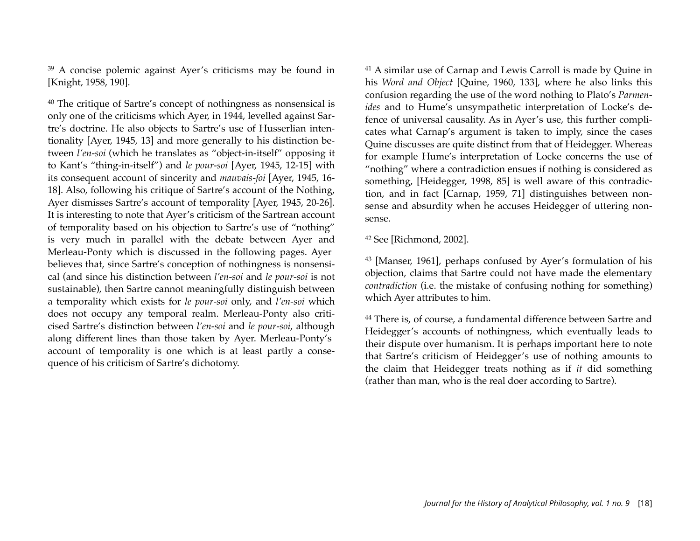<span id="page-18-0"></span>39 A concise polemic against Ayer's criticisms may be found in [Knight, 1958, 190].

<span id="page-18-1"></span>40 The critique of Sartre's concept of nothingness as nonsensical is only one of the criticisms which Ayer, in 1944, levelled against Sartre's doctrine. He also objects to Sartre's use of Husserlian intentionality [Ayer, 1945, 13] and more generally to his distinction between *l'en-soi* (which he translates as "object-in-itself" opposing it to Kant's "thing-in-itself") and *le pour-soi* [Ayer, 1945, 12-15] with its consequent account of sincerity and *mauvais-foi* [Ayer, 1945, 16- 18]. Also, following his critique of Sartre's account of the Nothing, Ayer dismisses Sartre's account of temporality [Ayer, 1945, 20-26]. It is interesting to note that Ayer's criticism of the Sartrean account of temporality based on his objection to Sartre's use of "nothing" is very much in parallel with the debate between Ayer and Merleau-Ponty which is discussed in the following pages. Ayer believes that, since Sartre's conception of nothingness is nonsensical (and since his distinction between *l'en-soi* and *le pour-soi* is not sustainable), then Sartre cannot meaningfully distinguish between a temporality which exists for *le pour-soi* only, and *l'en-soi* which does not occupy any temporal realm. Merleau-Ponty also criticised Sartre's distinction between *l'en-soi* and *le pour-soi*, although along different lines than those taken by Ayer. Merleau-Ponty's account of temporality is one which is at least partly a consequence of his criticism of Sartre's dichotomy.

<span id="page-18-2"></span>41 A similar use of Carnap and Lewis Carroll is made by Quine in his *Word and Object* [Quine, 1960, 133], where he also links this confusion regarding the use of the word nothing to Plato's *Parmenides* and to Hume's unsympathetic interpretation of Locke's defence of universal causality. As in Ayer's use, this further complicates what Carnap's argument is taken to imply, since the cases Quine discusses are quite distinct from that of Heidegger. Whereas for example Hume's interpretation of Locke concerns the use of "nothing" where a contradiction ensues if nothing is considered as something, [Heidegger, 1998, 85] is well aware of this contradiction, and in fact [Carnap, 1959, 71] distinguishes between nonsense and absurdity when he accuses Heidegger of uttering nonsense.

<span id="page-18-3"></span>42 See [Richmond, 2002].

<span id="page-18-4"></span>43 [Manser, 1961], perhaps confused by Ayer's formulation of his objection, claims that Sartre could not have made the elementary *contradiction* (i.e. the mistake of confusing nothing for something) which Ayer attributes to him.

<span id="page-18-5"></span>44 There is, of course, a fundamental difference between Sartre and Heidegger's accounts of nothingness, which eventually leads to their dispute over humanism. It is perhaps important here to note that Sartre's criticism of Heidegger's use of nothing amounts to the claim that Heidegger treats nothing as if *it* did something (rather than man, who is the real doer according to Sartre).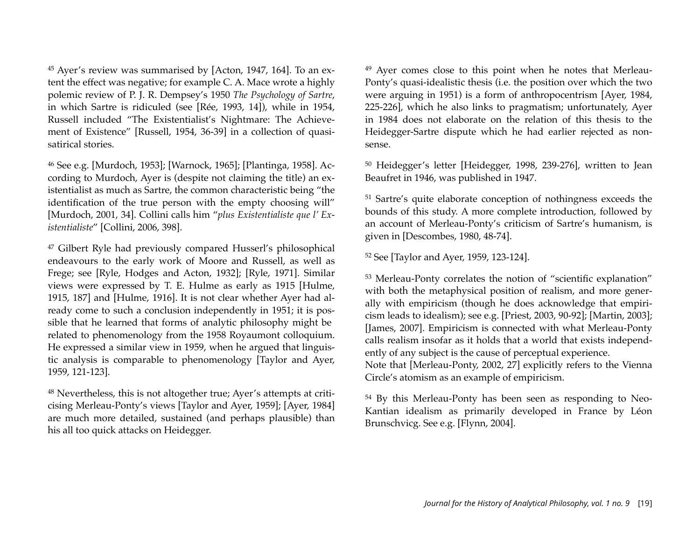<span id="page-19-0"></span>45 Ayer's review was summarised by [Acton, 1947, 164]. To an extent the effect was negative; for example C. A. Mace wrote a highly polemic review of P. J. R. Dempsey's 1950 *The Psychology of Sartre*, in which Sartre is ridiculed (see [Rée, 1993, 14]), while in 1954, Russell included "The Existentialist's Nightmare: The Achievement of Existence" [Russell, 1954, 36-39] in a collection of quasisatirical stories.

<span id="page-19-1"></span>46 See e.g. [Murdoch, 1953]; [Warnock, 1965]; [Plantinga, 1958]. According to Murdoch, Ayer is (despite not claiming the title) an existentialist as much as Sartre, the common characteristic being "the identification of the true person with the empty choosing will" [Murdoch, 2001, 34]. Collini calls him "*plus Existentialiste que l' Existentialiste*" [Collini, 2006, 398].

<span id="page-19-2"></span>47 Gilbert Ryle had previously compared Husserl's philosophical endeavours to the early work of Moore and Russell, as well as Frege; see [Ryle, Hodges and Acton, 1932]; [Ryle, 1971]. Similar views were expressed by T. E. Hulme as early as 1915 [Hulme, 1915, 187] and [Hulme, 1916]. It is not clear whether Ayer had already come to such a conclusion independently in 1951; it is possible that he learned that forms of analytic philosophy might be related to phenomenology from the 1958 Royaumont colloquium. He expressed a similar view in 1959, when he argued that linguistic analysis is comparable to phenomenology [Taylor and Ayer, 1959, 121-123].

<span id="page-19-3"></span>48 Nevertheless, this is not altogether true; Ayer's attempts at criticising Merleau-Ponty's views [Taylor and Ayer, 1959]; [Ayer, 1984] are much more detailed, sustained (and perhaps plausible) than his all too quick attacks on Heidegger.

<span id="page-19-4"></span>49 Ayer comes close to this point when he notes that Merleau-Ponty's quasi-idealistic thesis (i.e. the position over which the two were arguing in 1951) is a form of anthropocentrism [Ayer, 1984, 225-226], which he also links to pragmatism; unfortunately, Ayer in 1984 does not elaborate on the relation of this thesis to the Heidegger-Sartre dispute which he had earlier rejected as nonsense.

<span id="page-19-5"></span>50 Heidegger's letter [Heidegger, 1998, 239-276], written to Jean Beaufret in 1946, was published in 1947.

<span id="page-19-6"></span><sup>51</sup> Sartre's quite elaborate conception of nothingness exceeds the bounds of this study. A more complete introduction, followed by an account of Merleau-Ponty's criticism of Sartre's humanism, is given in [Descombes, 1980, 48-74].

<span id="page-19-7"></span>52 See [Taylor and Ayer, 1959, 123-124].

<span id="page-19-8"></span>53 Merleau-Ponty correlates the notion of "scientific explanation" with both the metaphysical position of realism, and more generally with empiricism (though he does acknowledge that empiricism leads to idealism); see e.g. [Priest, 2003, 90-92]; [Martin, 2003]; [James, 2007]. Empiricism is connected with what Merleau-Ponty calls realism insofar as it holds that a world that exists independently of any subject is the cause of perceptual experience.

Note that [Merleau-Ponty, 2002, 27] explicitly refers to the Vienna Circle's atomism as an example of empiricism.

<span id="page-19-9"></span>54 By this Merleau-Ponty has been seen as responding to Neo-Kantian idealism as primarily developed in France by Léon Brunschvicg. See e.g. [Flynn, 2004].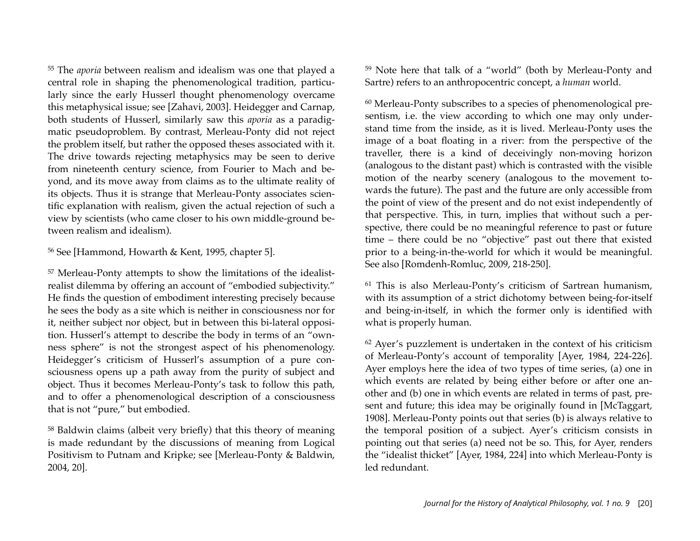<span id="page-20-0"></span>55 The *aporia* between realism and idealism was one that played a central role in shaping the phenomenological tradition, particularly since the early Husserl thought phenomenology overcame this metaphysical issue; see [Zahavi, 2003]. Heidegger and Carnap, both students of Husserl, similarly saw this *aporia* as a paradigmatic pseudoproblem. By contrast, Merleau-Ponty did not reject the problem itself, but rather the opposed theses associated with it. The drive towards rejecting metaphysics may be seen to derive from nineteenth century science, from Fourier to Mach and beyond, and its move away from claims as to the ultimate reality of its objects. Thus it is strange that Merleau-Ponty associates scientific explanation with realism, given the actual rejection of such a view by scientists (who came closer to his own middle-ground between realism and idealism).

<span id="page-20-1"></span>56 See [Hammond, Howarth & Kent, 1995, chapter 5].

<span id="page-20-2"></span>57 Merleau-Ponty attempts to show the limitations of the idealistrealist dilemma by offering an account of "embodied subjectivity." He finds the question of embodiment interesting precisely because he sees the body as a site which is neither in consciousness nor for it, neither subject nor object, but in between this bi-lateral opposition. Husserl's attempt to describe the body in terms of an "ownness sphere" is not the strongest aspect of his phenomenology. Heidegger's criticism of Husserl's assumption of a pure consciousness opens up a path away from the purity of subject and object. Thus it becomes Merleau-Ponty's task to follow this path, and to offer a phenomenological description of a consciousness that is not "pure," but embodied.

<span id="page-20-3"></span>58 Baldwin claims (albeit very briefly) that this theory of meaning is made redundant by the discussions of meaning from Logical Positivism to Putnam and Kripke; see [Merleau-Ponty & Baldwin, 2004, 20].

<span id="page-20-4"></span>59 Note here that talk of a "world" (both by Merleau-Ponty and Sartre) refers to an anthropocentric concept, a *human* world.

<span id="page-20-5"></span>60 Merleau-Ponty subscribes to a species of phenomenological presentism, i.e. the view according to which one may only understand time from the inside, as it is lived. Merleau-Ponty uses the image of a boat floating in a river: from the perspective of the traveller, there is a kind of deceivingly non-moving horizon (analogous to the distant past) which is contrasted with the visible motion of the nearby scenery (analogous to the movement towards the future). The past and the future are only accessible from the point of view of the present and do not exist independently of that perspective. This, in turn, implies that without such a perspective, there could be no meaningful reference to past or future time – there could be no "objective" past out there that existed prior to a being-in-the-world for which it would be meaningful. See also [Romdenh-Romluc, 2009, 218-250].

<span id="page-20-6"></span>61 This is also Merleau-Ponty's criticism of Sartrean humanism, with its assumption of a strict dichotomy between being-for-itself and being-in-itself, in which the former only is identified with what is properly human.

<span id="page-20-7"></span>62 Ayer's puzzlement is undertaken in the context of his criticism of Merleau-Ponty's account of temporality [Ayer, 1984, 224-226]. Ayer employs here the idea of two types of time series, (a) one in which events are related by being either before or after one another and (b) one in which events are related in terms of past, present and future; this idea may be originally found in [McTaggart, 1908]. Merleau-Ponty points out that series (b) is always relative to the temporal position of a subject. Ayer's criticism consists in pointing out that series (a) need not be so. This, for Ayer, renders the "idealist thicket" [Ayer, 1984, 224] into which Merleau-Ponty is led redundant.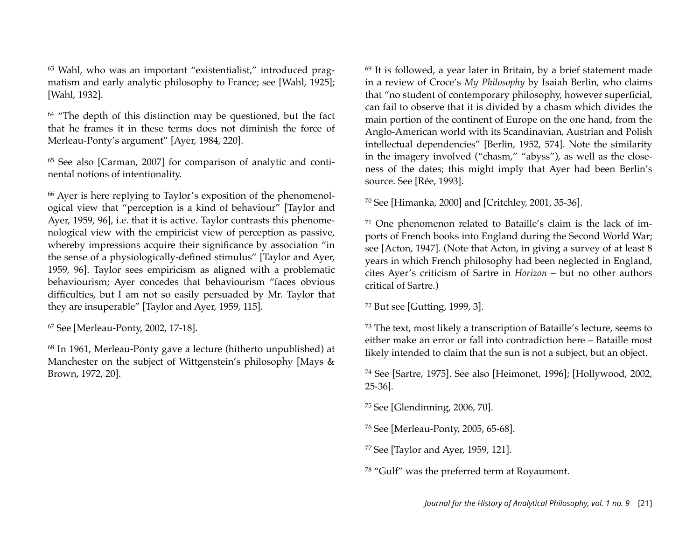<span id="page-21-0"></span>63 Wahl, who was an important "existentialist," introduced pragmatism and early analytic philosophy to France; see [Wahl, 1925]; [Wahl, 1932].

<span id="page-21-1"></span><sup>64</sup> "The depth of this distinction may be questioned, but the fact that he frames it in these terms does not diminish the force of Merleau-Ponty's argument" [Ayer, 1984, 220].

<span id="page-21-2"></span>65 See also [Carman, 2007] for comparison of analytic and continental notions of intentionality.

<span id="page-21-3"></span><sup>66</sup> Ayer is here replying to Taylor's exposition of the phenomenological view that "perception is a kind of behaviour" [Taylor and Ayer, 1959, 96], i.e. that it is active. Taylor contrasts this phenomenological view with the empiricist view of perception as passive, whereby impressions acquire their significance by association "in the sense of a physiologically-defined stimulus" [Taylor and Ayer, 1959, 96]. Taylor sees empiricism as aligned with a problematic behaviourism; Ayer concedes that behaviourism "faces obvious difficulties, but I am not so easily persuaded by Mr. Taylor that they are insuperable" [Taylor and Ayer, 1959, 115].

<span id="page-21-4"></span>67 See [Merleau-Ponty, 2002, 17-18].

<span id="page-21-5"></span>68 In 1961, Merleau-Ponty gave a lecture (hitherto unpublished) at Manchester on the subject of Wittgenstein's philosophy [Mays & Brown, 1972, 20].

<span id="page-21-6"></span>69 It is followed, a year later in Britain, by a brief statement made in a review of Croce's *My Philosophy* by Isaiah Berlin, who claims that "no student of contemporary philosophy, however superficial, can fail to observe that it is divided by a chasm which divides the main portion of the continent of Europe on the one hand, from the Anglo-American world with its Scandinavian, Austrian and Polish intellectual dependencies" [Berlin, 1952, 574]. Note the similarity in the imagery involved ("chasm," "abyss"), as well as the closeness of the dates; this might imply that Ayer had been Berlin's source. See [Rée, 1993].

<span id="page-21-7"></span><sup>70</sup> See [Himanka, 2000] and [Critchley, 2001, 35-36].

<span id="page-21-8"></span>71 One phenomenon related to Bataille's claim is the lack of imports of French books into England during the Second World War; see [Acton, 1947]. (Note that Acton, in giving a survey of at least 8 years in which French philosophy had been neglected in England, cites Ayer's criticism of Sartre in *Horizon* – but no other authors critical of Sartre.)

<span id="page-21-9"></span>72 But see [Gutting, 1999, 3].

<span id="page-21-10"></span>73 The text, most likely a transcription of Bataille's lecture, seems to either make an error or fall into contradiction here – Bataille most likely intended to claim that the sun is not a subject, but an object.

<span id="page-21-11"></span>74 See [Sartre, 1975]. See also [Heimonet, 1996]; [Hollywood, 2002, 25-36].

<span id="page-21-12"></span>75 See [Glendinning, 2006, 70].

<span id="page-21-13"></span>76 See [Merleau-Ponty, 2005, 65-68].

<span id="page-21-14"></span>77 See [Taylor and Ayer, 1959, 121].

<span id="page-21-15"></span>78 "Gulf" was the preferred term at Royaumont.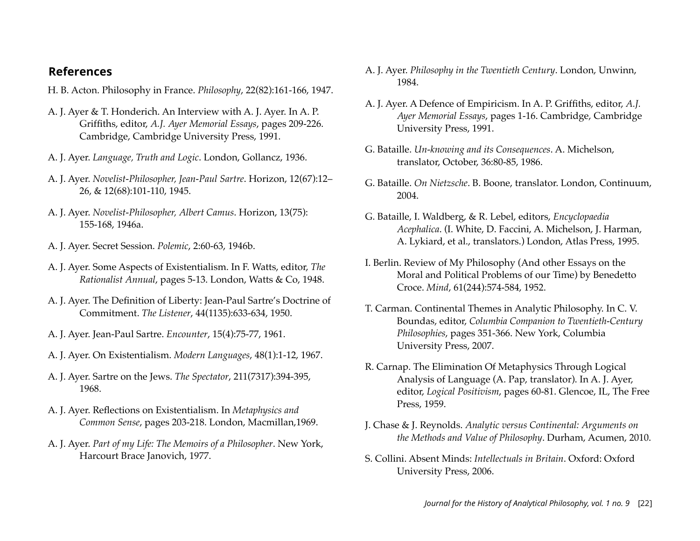## **References**

- H. B. Acton. Philosophy in France. *Philosophy*, 22(82):161-166, 1947.
- A. J. Ayer & T. Honderich. An Interview with A. J. Ayer. In A. P. Griffiths, editor, *A.J. Ayer Memorial Essays*, pages 209-226. Cambridge, Cambridge University Press, 1991.
- A. J. Ayer. *Language, Truth and Logic*. London, Gollancz, 1936.
- A. J. Ayer. *Novelist-Philosopher, Jean-Paul Sartre*. Horizon, 12(67):12– 26, & 12(68):101-110, 1945.
- A. J. Ayer. *Novelist-Philosopher, Albert Camus*. Horizon, 13(75): 155-168, 1946a.
- A. J. Ayer. Secret Session. *Polemic*, 2:60-63, 1946b.
- A. J. Ayer. Some Aspects of Existentialism. In F. Watts, editor, *The Rationalist Annual*, pages 5-13. London, Watts & Co, 1948.
- A. J. Ayer. The Definition of Liberty: Jean-Paul Sartre's Doctrine of Commitment. *The Listener*, 44(1135):633-634, 1950.
- A. J. Ayer. Jean-Paul Sartre. *Encounter*, 15(4):75-77, 1961.
- A. J. Ayer. On Existentialism. *Modern Languages*, 48(1):1-12, 1967.
- A. J. Ayer. Sartre on the Jews. *The Spectator*, 211(7317):394-395, 1968.
- A. J. Ayer. Reflections on Existentialism. In *Metaphysics and Common Sense*, pages 203-218. London, Macmillan,1969.
- A. J. Ayer. *Part of my Life: The Memoirs of a Philosopher*. New York, Harcourt Brace Janovich, 1977.
- A. J. Ayer. *Philosophy in the Twentieth Century*. London, Unwinn, 1984.
- A. J. Ayer. A Defence of Empiricism. In A. P. Griffiths, editor, *A.J. Ayer Memorial Essays*, pages 1-16. Cambridge, Cambridge University Press, 1991.
- G. Bataille. *Un-knowing and its Consequences*. A. Michelson, translator, October, 36:80-85, 1986.
- G. Bataille. *On Nietzsche*. B. Boone, translator. London, Continuum, 2004.
- G. Bataille, I. Waldberg, & R. Lebel, editors, *Encyclopaedia Acephalica*. (I. White, D. Faccini, A. Michelson, J. Harman, A. Lykiard, et al., translators.) London, Atlas Press, 1995.
- I. Berlin. Review of My Philosophy (And other Essays on the Moral and Political Problems of our Time) by Benedetto Croce. *Mind*, 61(244):574-584, 1952.
- T. Carman. Continental Themes in Analytic Philosophy. In C. V. Boundas, editor, *Columbia Companion to Twentieth-Century Philosophies*, pages 351-366. New York, Columbia University Press, 2007.
- R. Carnap. The Elimination Of Metaphysics Through Logical Analysis of Language (A. Pap, translator). In A. J. Ayer, editor, *Logical Positivism*, pages 60-81. Glencoe, IL, The Free Press, 1959.
- J. Chase & J. Reynolds. *Analytic versus Continental: Arguments on the Methods and Value of Philosophy*. Durham, Acumen, 2010.
- S. Collini. Absent Minds: *Intellectuals in Britain*. Oxford: Oxford University Press, 2006.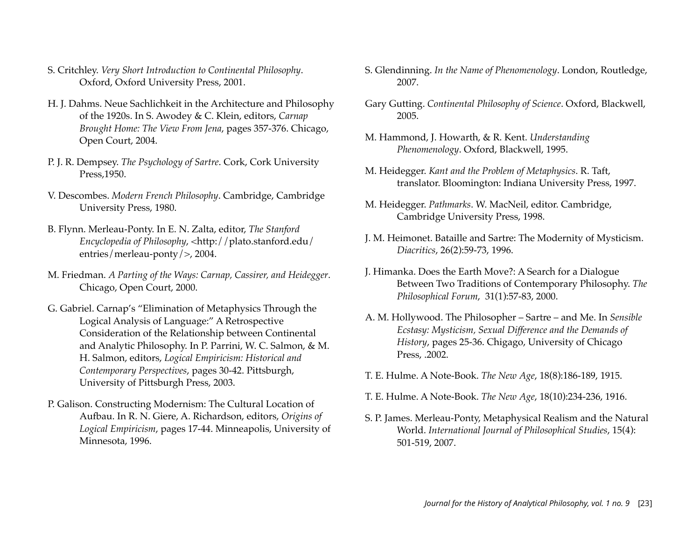- S. Critchley. *Very Short Introduction to Continental Philosophy*. Oxford, Oxford University Press, 2001.
- H. J. Dahms. Neue Sachlichkeit in the Architecture and Philosophy of the 1920s. In S. Awodey & C. Klein, editors, *Carnap Brought Home: The View From Jena*, pages 357-376. Chicago, Open Court, 2004.
- P. J. R. Dempsey. *The Psychology of Sartre*. Cork, Cork University Press,1950.
- V. Descombes. *Modern French Philosophy*. Cambridge, Cambridge University Press, 1980.
- B. Flynn. Merleau-Ponty. In E. N. Zalta, editor, *The Stanford Encyclopedia of Philosophy*, <[http://plato.stanford.edu/](http://plato.stanford.edu/entries/merleau-ponty/) [entries/merleau-ponty/](http://plato.stanford.edu/entries/merleau-ponty/)>, 2004.
- M. Friedman. *A Parting of the Ways: Carnap, Cassirer, and Heidegger*. Chicago, Open Court, 2000.
- G. Gabriel. Carnap's "Elimination of Metaphysics Through the Logical Analysis of Language:" A Retrospective Consideration of the Relationship between Continental and Analytic Philosophy. In P. Parrini, W. C. Salmon, & M. H. Salmon, editors, *Logical Empiricism: Historical and Contemporary Perspectives*, pages 30-42. Pittsburgh, University of Pittsburgh Press, 2003.
- P. Galison. Constructing Modernism: The Cultural Location of Aufbau. In R. N. Giere, A. Richardson, editors, *Origins of Logical Empiricism*, pages 17-44. Minneapolis, University of Minnesota, 1996.
- S. Glendinning. *In the Name of Phenomenology*. London, Routledge, 2007.
- Gary Gutting. *Continental Philosophy of Science*. Oxford, Blackwell, 2005.
- M. Hammond, J. Howarth, & R. Kent. *Understanding Phenomenology*. Oxford, Blackwell, 1995.
- M. Heidegger. *Kant and the Problem of Metaphysics*. R. Taft, translator. Bloomington: Indiana University Press, 1997.
- M. Heidegger. *Pathmarks*. W. MacNeil, editor. Cambridge, Cambridge University Press, 1998.
- J. M. Heimonet. Bataille and Sartre: The Modernity of Mysticism. *Diacritics*, 26(2):59-73, 1996.
- J. Himanka. Does the Earth Move?: A Search for a Dialogue Between Two Traditions of Contemporary Philosophy. *The Philosophical Forum*, 31(1):57-83, 2000.
- A. M. Hollywood. The Philosopher Sartre and Me. In *Sensible Ecstasy: Mysticism, Sexual Difference and the Demands of History*, pages 25-36. Chigago, University of Chicago Press, .2002.
- T. E. Hulme. A Note-Book. *The New Age*, 18(8):186-189, 1915.
- T. E. Hulme. A Note-Book. *The New Age*, 18(10):234-236, 1916.
- S. P. James. Merleau-Ponty, Metaphysical Realism and the Natural World. *International Journal of Philosophical Studies*, 15(4): 501-519, 2007.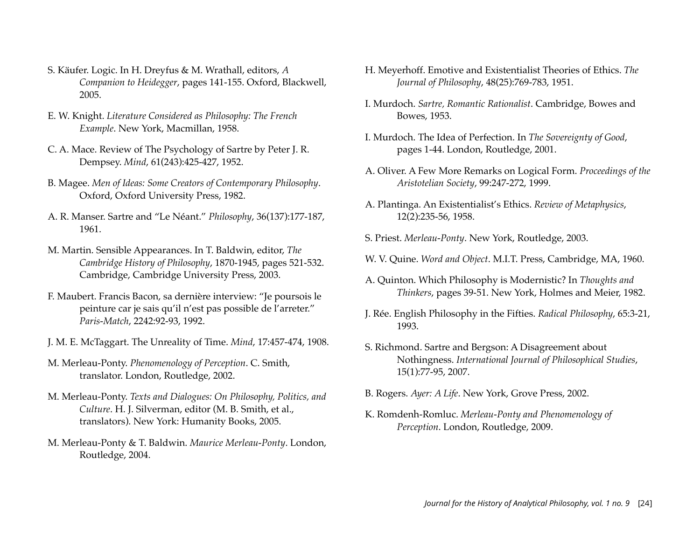- S. Käufer. Logic. In H. Dreyfus & M. Wrathall, editors, *A Companion to Heidegger*, pages 141-155. Oxford, Blackwell, 2005.
- E. W. Knight. *Literature Considered as Philosophy: The French Example*. New York, Macmillan, 1958.
- C. A. Mace. Review of The Psychology of Sartre by Peter J. R. Dempsey. *Mind*, 61(243):425-427, 1952.
- B. Magee. *Men of Ideas: Some Creators of Contemporary Philosophy*. Oxford, Oxford University Press, 1982.
- A. R. Manser. Sartre and "Le Néant." *Philosophy*, 36(137):177-187, 1961.
- M. Martin. Sensible Appearances. In T. Baldwin, editor, *The Cambridge History of Philosophy*, 1870-1945, pages 521-532. Cambridge, Cambridge University Press, 2003.
- F. Maubert. Francis Bacon, sa dernière interview: "Je poursois le peinture car je sais qu'il n'est pas possible de l'arreter." *Paris-Match*, 2242:92-93, 1992.
- J. M. E. McTaggart. The Unreality of Time. *Mind*, 17:457-474, 1908.
- M. Merleau-Ponty. *Phenomenology of Perception*. C. Smith, translator. London, Routledge, 2002.
- M. Merleau-Ponty. *Texts and Dialogues: On Philosophy, Politics, and Culture*. H. J. Silverman, editor (M. B. Smith, et al., translators). New York: Humanity Books, 2005.
- M. Merleau-Ponty & T. Baldwin. *Maurice Merleau-Ponty*. London, Routledge, 2004.
- H. Meyerhoff. Emotive and Existentialist Theories of Ethics. *The Journal of Philosophy*, 48(25):769-783, 1951.
- I. Murdoch. *Sartre, Romantic Rationalist*. Cambridge, Bowes and Bowes, 1953.
- I. Murdoch. The Idea of Perfection. In *The Sovereignty of Good*, pages 1-44. London, Routledge, 2001.
- A. Oliver. A Few More Remarks on Logical Form. *Proceedings of the Aristotelian Society*, 99:247-272, 1999.
- A. Plantinga. An Existentialist's Ethics. *Review of Metaphysics*, 12(2):235-56, 1958.
- S. Priest. *Merleau-Ponty*. New York, Routledge, 2003.
- W. V. Quine. *Word and Object*. M.I.T. Press, Cambridge, MA, 1960.
- A. Quinton. Which Philosophy is Modernistic? In *Thoughts and Thinkers*, pages 39-51. New York, Holmes and Meier, 1982.
- J. Rée. English Philosophy in the Fifties. *Radical Philosophy*, 65:3-21, 1993.
- S. Richmond. Sartre and Bergson: A Disagreement about Nothingness. *International Journal of Philosophical Studies*, 15(1):77-95, 2007.
- B. Rogers. *Ayer: A Life*. New York, Grove Press, 2002.
- K. Romdenh-Romluc. *Merleau-Ponty and Phenomenology of Perception*. London, Routledge, 2009.